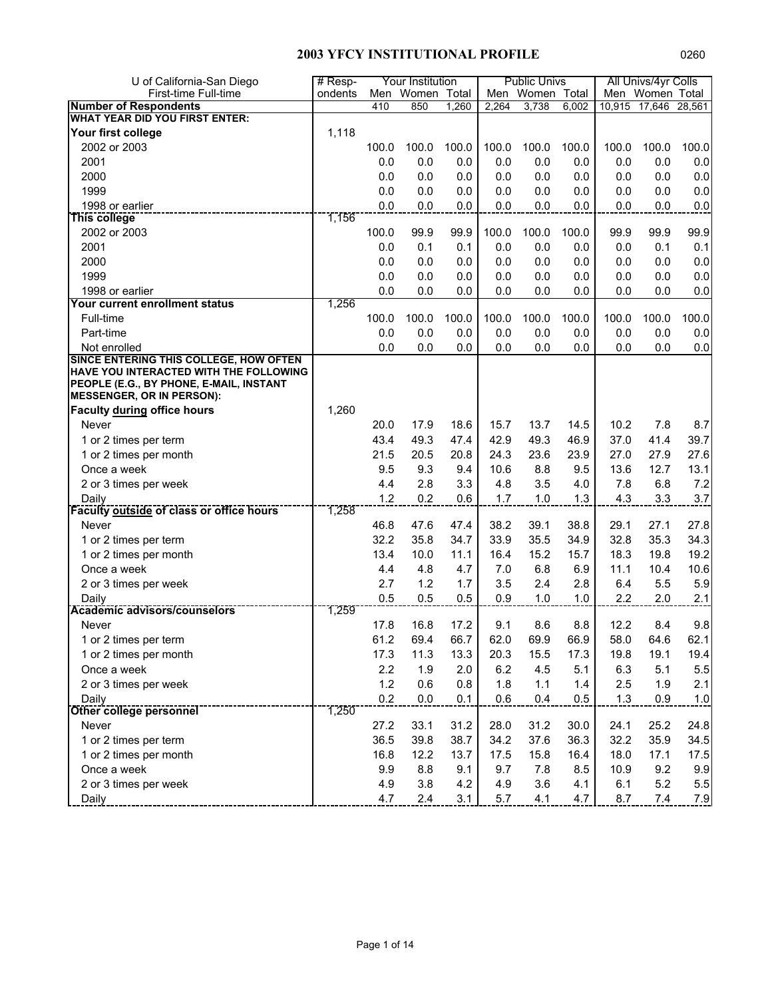| U of California-San Diego                                                        | $#$ Resp- |       | Your Institution |       |       | <b>Public Univs</b> |       |        | All Univs/4yr Colls |         |
|----------------------------------------------------------------------------------|-----------|-------|------------------|-------|-------|---------------------|-------|--------|---------------------|---------|
| First-time Full-time                                                             | ondents   |       | Men Women Total  |       |       | Men Women Total     |       |        | Men Women Total     |         |
| <b>Number of Respondents</b>                                                     |           | 410   | 850              | 1,260 | 2,264 | 3,738               | 6,002 | 10,915 | 17,646              | 28,561  |
| <b>WHAT YEAR DID YOU FIRST ENTER:</b>                                            |           |       |                  |       |       |                     |       |        |                     |         |
| Your first college                                                               | 1,118     |       |                  |       |       |                     |       |        |                     |         |
| 2002 or 2003                                                                     |           | 100.0 | 100.0            | 100.0 | 100.0 | 100.0               | 100.0 | 100.0  | 100.0               | 100.0   |
| 2001                                                                             |           | 0.0   | 0.0              | 0.0   | 0.0   | 0.0                 | 0.0   | 0.0    | 0.0                 | 0.0     |
| 2000                                                                             |           | 0.0   | 0.0              | 0.0   | 0.0   | 0.0                 | 0.0   | 0.0    | 0.0                 | 0.0     |
| 1999                                                                             |           | 0.0   | 0.0              | 0.0   | 0.0   | 0.0                 | 0.0   | 0.0    | 0.0                 | 0.0     |
| 1998 or earlier                                                                  |           | 0.0   | 0.0              | 0.0   | 0.0   | 0.0                 | 0.0   | 0.0    | 0.0                 | 0.0     |
| This college                                                                     | 1,156     |       |                  |       |       |                     |       |        |                     |         |
| 2002 or 2003                                                                     |           | 100.0 | 99.9             | 99.9  | 100.0 | 100.0               | 100.0 | 99.9   | 99.9                | 99.9    |
| 2001                                                                             |           | 0.0   | 0.1              | 0.1   | 0.0   | 0.0                 | 0.0   | 0.0    | 0.1                 | 0.1     |
| 2000                                                                             |           | 0.0   | 0.0              | 0.0   | 0.0   | 0.0                 | 0.0   | 0.0    | 0.0                 | 0.0     |
| 1999                                                                             |           | 0.0   | 0.0              | 0.0   | 0.0   | 0.0                 | 0.0   | 0.0    | 0.0                 | 0.0     |
| 1998 or earlier                                                                  |           | 0.0   | 0.0              | 0.0   | 0.0   | 0.0                 | 0.0   | 0.0    | 0.0                 | 0.0     |
| Your current enrollment status                                                   | 1,256     |       |                  |       |       |                     |       |        |                     |         |
| Full-time                                                                        |           | 100.0 | 100.0            | 100.0 | 100.0 | 100.0               | 100.0 | 100.0  | 100.0               | 100.0   |
| Part-time                                                                        |           | 0.0   | 0.0              | 0.0   | 0.0   | 0.0                 | 0.0   | 0.0    | 0.0                 | 0.0     |
| Not enrolled                                                                     |           | 0.0   | 0.0              | 0.0   | 0.0   | 0.0                 | 0.0   | 0.0    | 0.0                 | 0.0     |
| SINCE ENTERING THIS COLLEGE, HOW OFTEN<br>HAVE YOU INTERACTED WITH THE FOLLOWING |           |       |                  |       |       |                     |       |        |                     |         |
| PEOPLE (E.G., BY PHONE, E-MAIL, INSTANT                                          |           |       |                  |       |       |                     |       |        |                     |         |
| <b>MESSENGER, OR IN PERSON):</b>                                                 |           |       |                  |       |       |                     |       |        |                     |         |
| Faculty during office hours                                                      | 1,260     |       |                  |       |       |                     |       |        |                     |         |
| Never                                                                            |           | 20.0  | 17.9             | 18.6  | 15.7  | 13.7                | 14.5  | 10.2   | 7.8                 | 8.7     |
| 1 or 2 times per term                                                            |           | 43.4  | 49.3             | 47.4  | 42.9  | 49.3                | 46.9  | 37.0   | 41.4                | 39.7    |
| 1 or 2 times per month                                                           |           | 21.5  | 20.5             | 20.8  | 24.3  | 23.6                | 23.9  | 27.0   | 27.9                | 27.6    |
| Once a week                                                                      |           | 9.5   | 9.3              | 9.4   | 10.6  | 8.8                 | 9.5   | 13.6   | 12.7                | 13.1    |
| 2 or 3 times per week                                                            |           | 4.4   | 2.8              | 3.3   | 4.8   | 3.5                 | 4.0   | 7.8    | 6.8                 | 7.2     |
| Daily                                                                            |           | 1.2   | 0.2              | 0.6   | 1.7   | 1.0                 | 1.3   | 4.3    | 3.3                 | 3.7     |
| <b>Faculty outside of class or office hours</b>                                  | 1,258     |       |                  |       |       |                     |       |        |                     |         |
| Never                                                                            |           | 46.8  | 47.6             | 47.4  | 38.2  | 39.1                | 38.8  | 29.1   | 27.1                | 27.8    |
| 1 or 2 times per term                                                            |           | 32.2  | 35.8             | 34.7  | 33.9  | 35.5                | 34.9  | 32.8   | 35.3                | 34.3    |
| 1 or 2 times per month                                                           |           | 13.4  | 10.0             | 11.1  | 16.4  | 15.2                | 15.7  | 18.3   | 19.8                | 19.2    |
| Once a week                                                                      |           | 4.4   | 4.8              | 4.7   | 7.0   | 6.8                 | 6.9   | 11.1   | 10.4                | 10.6    |
| 2 or 3 times per week                                                            |           | 2.7   | 1.2              | 1.7   | 3.5   | 2.4                 | 2.8   | 6.4    | 5.5                 | 5.9     |
| Daily                                                                            |           | 0.5   | 0.5              | 0.5   | 0.9   | 1.0                 | 1.0   | 2.2    | 2.0                 | 2.1     |
| <b>Academic advisors/counselors</b>                                              | 1,259     |       |                  |       |       |                     |       |        |                     |         |
| Never                                                                            |           | 17.8  | 16.8             | 17.2  | 9.1   | 8.6                 | 8.8   | 12.2   | 8.4                 | 9.8     |
| 1 or 2 times per term                                                            |           | 61.2  | 69.4             | 66.7  | 62.0  | 69.9                | 66.9  | 58.0   | 64.6                | 62.1    |
| 1 or 2 times per month                                                           |           | 17.3  | 11.3             | 13.3  | 20.3  | 15.5                | 17.3  | 19.8   | 19.1                | 19.4    |
| Once a week                                                                      |           | 2.2   | 1.9              | 2.0   | 6.2   | 4.5                 | 5.1   | 6.3    | 5.1                 | $5.5\,$ |
| 2 or 3 times per week                                                            |           | $1.2$ | 0.6              | 0.8   | 1.8   | 1.1                 | 1.4   | 2.5    | 1.9                 | 2.1     |
| Daily                                                                            |           | 0.2   | 0.0              | 0.1   | 0.6   | 0.4                 | 0.5   | 1.3    | 0.9                 | 1.0     |
| <b>Other college personnel</b>                                                   | 1,250     |       |                  |       |       |                     |       |        |                     |         |
| Never                                                                            |           | 27.2  | 33.1             | 31.2  | 28.0  | 31.2                | 30.0  | 24.1   | 25.2                | 24.8    |
| 1 or 2 times per term                                                            |           | 36.5  | 39.8             | 38.7  | 34.2  | 37.6                | 36.3  | 32.2   | 35.9                | 34.5    |
| 1 or 2 times per month                                                           |           | 16.8  | 12.2             | 13.7  | 17.5  | 15.8                | 16.4  | 18.0   | 17.1                | 17.5    |
| Once a week                                                                      |           | 9.9   | 8.8              | 9.1   | 9.7   | 7.8                 | 8.5   | 10.9   | 9.2                 | 9.9     |
| 2 or 3 times per week                                                            |           | 4.9   | 3.8              | 4.2   | 4.9   | 3.6                 | 4.1   | 6.1    | 5.2                 | $5.5\,$ |
|                                                                                  |           | 4.7   | 2.4              | 3.1   | 5.7   | 4.1                 | 4.7   | 8.7    | 7.4                 | 7.9     |
| Daily                                                                            |           |       |                  |       |       |                     |       |        |                     |         |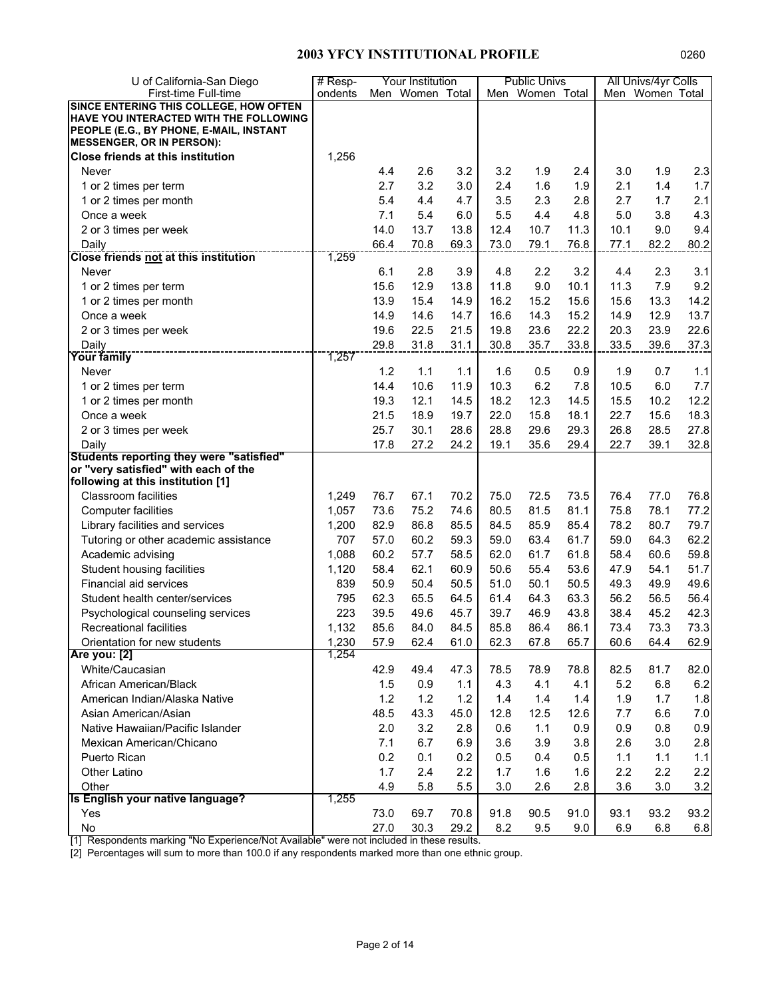| U of California-San Diego                                                   | $#$ Resp- |      | Your Institution |      |      | <b>Public Univs</b> |              |      | All Univs/4yr Colls |      |
|-----------------------------------------------------------------------------|-----------|------|------------------|------|------|---------------------|--------------|------|---------------------|------|
| First-time Full-time                                                        | ondents   |      | Men Women Total  |      |      | Men Women Total     |              |      | Men Women Total     |      |
| SINCE ENTERING THIS COLLEGE, HOW OFTEN                                      |           |      |                  |      |      |                     |              |      |                     |      |
| HAVE YOU INTERACTED WITH THE FOLLOWING                                      |           |      |                  |      |      |                     |              |      |                     |      |
| PEOPLE (E.G., BY PHONE, E-MAIL, INSTANT<br><b>MESSENGER, OR IN PERSON):</b> |           |      |                  |      |      |                     |              |      |                     |      |
| Close friends at this institution                                           | 1,256     |      |                  |      |      |                     |              |      |                     |      |
| Never                                                                       |           | 4.4  | 2.6              | 3.2  | 3.2  | 1.9                 | 2.4          | 3.0  | 1.9                 | 2.3  |
| 1 or 2 times per term                                                       |           | 2.7  | 3.2              | 3.0  | 2.4  | 1.6                 | 1.9          | 2.1  | 1.4                 | 1.7  |
|                                                                             |           | 5.4  | 4.4              | 4.7  | 3.5  | 2.3                 | 2.8          | 2.7  | 1.7                 | 2.1  |
| 1 or 2 times per month                                                      |           |      | 5.4              |      |      | 4.4                 |              |      |                     |      |
| Once a week                                                                 |           | 7.1  |                  | 6.0  | 5.5  |                     | 4.8          | 5.0  | 3.8<br>9.0          | 4.3  |
| 2 or 3 times per week                                                       |           | 14.0 | 13.7             | 13.8 | 12.4 | 10.7                | 11.3<br>76.8 | 10.1 |                     | 9.4  |
| Daily<br><b>Close friends not at this institution</b>                       | 1,259     | 66.4 | 70.8             | 69.3 | 73.0 | 79.1                |              | 77.1 | 82.2                | 80.2 |
| Never                                                                       |           | 6.1  | 2.8              | 3.9  | 4.8  | 2.2                 | 3.2          | 4.4  | 2.3                 | 3.1  |
| 1 or 2 times per term                                                       |           | 15.6 | 12.9             | 13.8 | 11.8 | 9.0                 | 10.1         | 11.3 | 7.9                 | 9.2  |
| 1 or 2 times per month                                                      |           | 13.9 | 15.4             | 14.9 | 16.2 | 15.2                | 15.6         | 15.6 | 13.3                | 14.2 |
| Once a week                                                                 |           | 14.9 | 14.6             | 14.7 | 16.6 | 14.3                | 15.2         | 14.9 | 12.9                | 13.7 |
| 2 or 3 times per week                                                       |           | 19.6 | 22.5             | 21.5 | 19.8 | 23.6                | 22.2         | 20.3 | 23.9                | 22.6 |
| Daily                                                                       |           | 29.8 | 31.8             | 31.1 | 30.8 | 35.7                | 33.8         | 33.5 | 39.6                | 37.3 |
| <b>Your family</b>                                                          | 1,257     |      |                  |      |      |                     |              |      |                     |      |
| Never                                                                       |           | 1.2  | 1.1              | 1.1  | 1.6  | 0.5                 | 0.9          | 1.9  | 0.7                 | 1.1  |
| 1 or 2 times per term                                                       |           | 14.4 | 10.6             | 11.9 | 10.3 | 6.2                 | 7.8          | 10.5 | 6.0                 | 7.7  |
| 1 or 2 times per month                                                      |           | 19.3 | 12.1             | 14.5 | 18.2 | 12.3                | 14.5         | 15.5 | 10.2                | 12.2 |
| Once a week                                                                 |           | 21.5 | 18.9             | 19.7 | 22.0 | 15.8                | 18.1         | 22.7 | 15.6                | 18.3 |
| 2 or 3 times per week                                                       |           | 25.7 | 30.1             | 28.6 | 28.8 | 29.6                | 29.3         | 26.8 | 28.5                | 27.8 |
| Daily                                                                       |           | 17.8 | 27.2             | 24.2 | 19.1 | 35.6                | 29.4         | 22.7 | 39.1                | 32.8 |
| Students reporting they were "satisfied"                                    |           |      |                  |      |      |                     |              |      |                     |      |
| or "very satisfied" with each of the                                        |           |      |                  |      |      |                     |              |      |                     |      |
| following at this institution [1]                                           |           |      |                  |      |      |                     |              |      |                     |      |
| <b>Classroom facilities</b>                                                 | 1,249     | 76.7 | 67.1             | 70.2 | 75.0 | 72.5                | 73.5         | 76.4 | 77.0                | 76.8 |
| <b>Computer facilities</b>                                                  | 1,057     | 73.6 | 75.2             | 74.6 | 80.5 | 81.5                | 81.1         | 75.8 | 78.1                | 77.2 |
| Library facilities and services                                             | 1,200     | 82.9 | 86.8             | 85.5 | 84.5 | 85.9                | 85.4         | 78.2 | 80.7                | 79.7 |
| Tutoring or other academic assistance                                       | 707       | 57.0 | 60.2             | 59.3 | 59.0 | 63.4                | 61.7         | 59.0 | 64.3                | 62.2 |
| Academic advising                                                           | 1,088     | 60.2 | 57.7             | 58.5 | 62.0 | 61.7                | 61.8         | 58.4 | 60.6                | 59.8 |
| Student housing facilities                                                  | 1,120     | 58.4 | 62.1             | 60.9 | 50.6 | 55.4                | 53.6         | 47.9 | 54.1                | 51.7 |
| Financial aid services                                                      | 839       | 50.9 | 50.4             | 50.5 | 51.0 | 50.1                | 50.5         | 49.3 | 49.9                | 49.6 |
| Student health center/services                                              | 795       | 62.3 | 65.5             | 64.5 | 61.4 | 64.3                | 63.3         | 56.2 | 56.5                | 56.4 |
| Psychological counseling services                                           | 223       | 39.5 | 49.6             | 45.7 | 39.7 | 46.9                | 43.8         | 38.4 | 45.2                | 42.3 |
| <b>Recreational facilities</b>                                              | 1,132     | 85.6 | 84.0             | 84.5 | 85.8 | 86.4                | 86.1         | 73.4 | 73.3                | 73.3 |
| Orientation for new students                                                | 1,230     | 57.9 | 62.4             | 61.0 | 62.3 | 67.8                | 65.7         | 60.6 | 64.4                | 62.9 |
| Are you: [2]                                                                | 1,254     |      |                  |      |      |                     |              |      |                     |      |
| White/Caucasian                                                             |           | 42.9 | 49.4             | 47.3 | 78.5 | 78.9                | 78.8         | 82.5 | 81.7                | 82.0 |
| African American/Black                                                      |           | 1.5  | 0.9              | 1.1  | 4.3  | 4.1                 | 4.1          | 5.2  | 6.8                 | 6.2  |
| American Indian/Alaska Native                                               |           | 1.2  | 1.2              | 1.2  | 1.4  | 1.4                 | 1.4          | 1.9  | 1.7                 | 1.8  |
| Asian American/Asian                                                        |           | 48.5 | 43.3             | 45.0 | 12.8 | 12.5                | 12.6         | 7.7  | 6.6                 | 7.0  |
| Native Hawaiian/Pacific Islander                                            |           | 2.0  | 3.2              | 2.8  | 0.6  | 1.1                 | 0.9          | 0.9  | 0.8                 | 0.9  |
| Mexican American/Chicano                                                    |           | 7.1  | 6.7              | 6.9  | 3.6  | 3.9                 | 3.8          | 2.6  | 3.0                 | 2.8  |
| Puerto Rican                                                                |           | 0.2  | 0.1              | 0.2  | 0.5  | 0.4                 | 0.5          | 1.1  | 1.1                 | 1.1  |
| Other Latino                                                                |           | 1.7  | 2.4              | 2.2  | 1.7  | 1.6                 | 1.6          | 2.2  | 2.2                 | 2.2  |
| Other                                                                       |           | 4.9  | 5.8              | 5.5  | 3.0  | 2.6                 | 2.8          | 3.6  | 3.0                 | 3.2  |
| Is English your native language?                                            | 1,255     |      |                  |      |      |                     |              |      |                     |      |
| Yes                                                                         |           | 73.0 | 69.7             | 70.8 | 91.8 | 90.5                | 91.0         | 93.1 | 93.2                | 93.2 |
| No                                                                          |           | 27.0 | 30.3             | 29.2 | 8.2  | 9.5                 | 9.0          | 6.9  | 6.8                 | 6.8  |

[1] Respondents marking "No Experience/Not Available" were not included in these results.

[2] Percentages will sum to more than 100.0 if any respondents marked more than one ethnic group.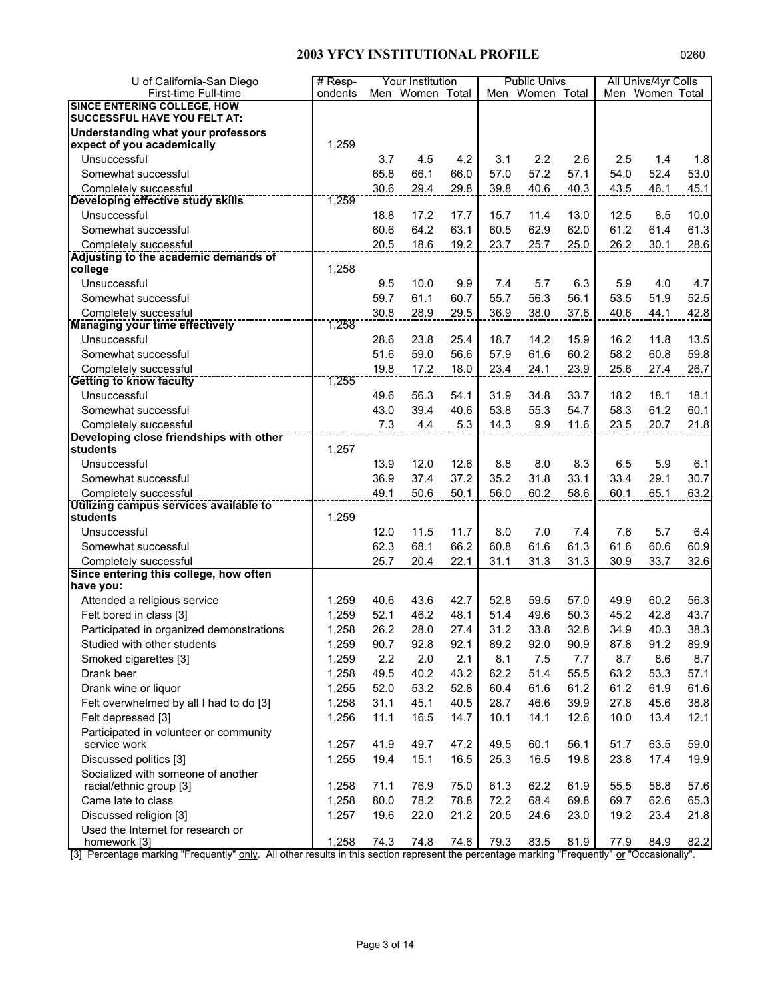| U of California-San Diego                                        | $#$ Resp- |      | Your Institution |      |      | <b>Public Univs</b> |      |      | All Univs/4yr Colls |      |
|------------------------------------------------------------------|-----------|------|------------------|------|------|---------------------|------|------|---------------------|------|
| First-time Full-time                                             | ondents   |      | Men Women Total  |      |      | Men Women Total     |      |      | Men Women Total     |      |
| <b>SINCE ENTERING COLLEGE, HOW</b>                               |           |      |                  |      |      |                     |      |      |                     |      |
| <b>SUCCESSFUL HAVE YOU FELT AT:</b>                              |           |      |                  |      |      |                     |      |      |                     |      |
| Understanding what your professors<br>expect of you academically | 1,259     |      |                  |      |      |                     |      |      |                     |      |
| Unsuccessful                                                     |           | 3.7  | 4.5              | 4.2  | 3.1  | 2.2                 | 2.6  | 2.5  | 1.4                 | 1.8  |
| Somewhat successful                                              |           | 65.8 | 66.1             | 66.0 | 57.0 | 57.2                | 57.1 | 54.0 | 52.4                | 53.0 |
|                                                                  |           |      |                  |      |      |                     |      |      | 46.1                |      |
| Completely successful<br>Developing effective study skills       | 1,259     | 30.6 | 29.4             | 29.8 | 39.8 | 40.6                | 40.3 | 43.5 |                     | 45.1 |
| Unsuccessful                                                     |           | 18.8 | 17.2             | 17.7 | 15.7 | 11.4                | 13.0 | 12.5 | 8.5                 | 10.0 |
| Somewhat successful                                              |           | 60.6 | 64.2             | 63.1 | 60.5 | 62.9                | 62.0 | 61.2 | 61.4                | 61.3 |
| Completely successful                                            |           | 20.5 | 18.6             | 19.2 | 23.7 | 25.7                | 25.0 | 26.2 | 30.1                | 28.6 |
| Adjusting to the academic demands of                             |           |      |                  |      |      |                     |      |      |                     |      |
| college                                                          | 1,258     |      |                  |      |      |                     |      |      |                     |      |
| Unsuccessful                                                     |           | 9.5  | 10.0             | 9.9  | 7.4  | 5.7                 | 6.3  | 5.9  | 4.0                 | 4.7  |
| Somewhat successful                                              |           | 59.7 | 61.1             | 60.7 | 55.7 | 56.3                | 56.1 | 53.5 | 51.9                | 52.5 |
| Completely successful                                            |           | 30.8 | 28.9             | 29.5 | 36.9 | 38.0                | 37.6 | 40.6 | 44.1                | 42.8 |
| <b>Managing your time effectively</b>                            | 1,258     |      |                  |      |      |                     |      |      |                     |      |
| Unsuccessful                                                     |           | 28.6 | 23.8             | 25.4 | 18.7 | 14.2                | 15.9 | 16.2 | 11.8                | 13.5 |
| Somewhat successful                                              |           | 51.6 | 59.0             | 56.6 | 57.9 | 61.6                | 60.2 | 58.2 | 60.8                | 59.8 |
| Completely successful                                            |           | 19.8 | 17.2             | 18.0 | 23.4 | 24.1                | 23.9 | 25.6 | 27.4                | 26.7 |
| <b>Getting to know faculty</b>                                   | 1,255     |      |                  |      |      |                     |      |      |                     |      |
| Unsuccessful                                                     |           | 49.6 | 56.3             | 54.1 | 31.9 | 34.8                | 33.7 | 18.2 | 18.1                | 18.1 |
| Somewhat successful                                              |           | 43.0 | 39.4             | 40.6 | 53.8 | 55.3                | 54.7 | 58.3 | 61.2                | 60.1 |
| Completely successful                                            |           | 7.3  | 4.4              | 5.3  | 14.3 | 9.9                 | 11.6 | 23.5 | 20.7                | 21.8 |
| Developing close friendships with other<br><b>students</b>       | 1,257     |      |                  |      |      |                     |      |      |                     |      |
| Unsuccessful                                                     |           | 13.9 | 12.0             | 12.6 | 8.8  | 8.0                 | 8.3  | 6.5  | 5.9                 | 6.1  |
| Somewhat successful                                              |           | 36.9 | 37.4             | 37.2 | 35.2 | 31.8                | 33.1 | 33.4 | 29.1                | 30.7 |
| Completely successful                                            |           | 49.1 | 50.6             | 50.1 | 56.0 | 60.2                | 58.6 | 60.1 | 65.1                | 63.2 |
| Utilizing campus services available to                           |           |      |                  |      |      |                     |      |      |                     |      |
| students                                                         | 1,259     |      |                  |      |      |                     |      |      |                     |      |
| Unsuccessful                                                     |           | 12.0 | 11.5             | 11.7 | 8.0  | 7.0                 | 7.4  | 7.6  | 5.7                 | 6.4  |
| Somewhat successful                                              |           | 62.3 | 68.1             | 66.2 | 60.8 | 61.6                | 61.3 | 61.6 | 60.6                | 60.9 |
| Completely successful                                            |           | 25.7 | 20.4             | 22.1 | 31.1 | 31.3                | 31.3 | 30.9 | 33.7                | 32.6 |
| Since entering this college, how often                           |           |      |                  |      |      |                     |      |      |                     |      |
| have you:                                                        |           |      |                  |      |      |                     |      |      |                     |      |
| Attended a religious service                                     | 1,259     | 40.6 | 43.6             | 42.7 | 52.8 | 59.5                | 57.0 | 49.9 | 60.2                | 56.3 |
| Felt bored in class [3]                                          | 1,259     | 52.1 | 46.2             | 48.1 | 51.4 | 49.6                | 50.3 | 45.2 | 42.8                | 43.7 |
| Participated in organized demonstrations                         | 1,258     | 26.2 | 28.0             | 27.4 | 31.2 | 33.8                | 32.8 | 34.9 | 40.3                | 38.3 |
| Studied with other students                                      | 1,259     | 90.7 | 92.8             | 92.1 | 89.2 | 92.0                | 90.9 | 87.8 | 91.2                | 89.9 |
| Smoked cigarettes [3]                                            | 1,259     | 2.2  | 2.0              | 2.1  | 8.1  | 7.5                 | 7.7  | 8.7  | 8.6                 | 8.7  |
| Drank beer                                                       | 1,258     | 49.5 | 40.2             | 43.2 | 62.2 | 51.4                | 55.5 | 63.2 | 53.3                | 57.1 |
| Drank wine or liquor                                             | 1,255     | 52.0 | 53.2             | 52.8 | 60.4 | 61.6                | 61.2 | 61.2 | 61.9                | 61.6 |
| Felt overwhelmed by all I had to do [3]                          | 1,258     | 31.1 | 45.1             | 40.5 | 28.7 | 46.6                | 39.9 | 27.8 | 45.6                | 38.8 |
| Felt depressed [3]                                               | 1,256     | 11.1 | 16.5             | 14.7 | 10.1 | 14.1                | 12.6 | 10.0 | 13.4                | 12.1 |
| Participated in volunteer or community                           |           |      |                  |      |      |                     |      |      |                     |      |
| service work                                                     | 1,257     | 41.9 | 49.7             | 47.2 | 49.5 | 60.1                | 56.1 | 51.7 | 63.5                | 59.0 |
| Discussed politics [3]                                           | 1,255     | 19.4 | 15.1             | 16.5 | 25.3 | 16.5                | 19.8 | 23.8 | 17.4                | 19.9 |
| Socialized with someone of another                               |           |      |                  |      |      |                     |      |      |                     |      |
| racial/ethnic group [3]                                          | 1,258     | 71.1 | 76.9             | 75.0 | 61.3 | 62.2                | 61.9 | 55.5 | 58.8                | 57.6 |
| Came late to class                                               | 1,258     | 80.0 | 78.2             | 78.8 | 72.2 | 68.4                | 69.8 | 69.7 | 62.6                | 65.3 |
| Discussed religion [3]                                           | 1,257     | 19.6 | 22.0             | 21.2 | 20.5 | 24.6                | 23.0 | 19.2 | 23.4                | 21.8 |
| Used the Internet for research or<br>homework [3]                | 1,258     | 74.3 | 74.8             | 74.6 | 79.3 | 83.5                | 81.9 | 77.9 | 84.9                | 82.2 |
| "From an path." and a                                            |           |      |                  |      |      |                     |      |      |                     |      |

[3] Percentage marking "Frequently" only. All other results in this section represent the percentage marking "Frequently" or "Occasionally".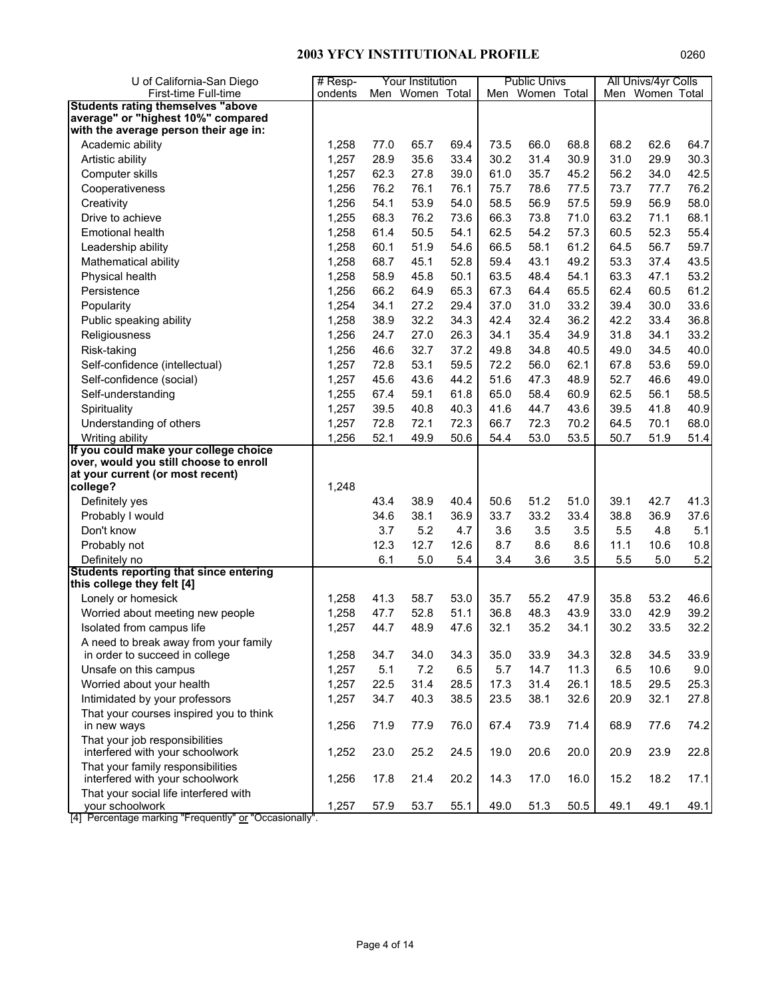| U of California-San Diego                                                   | $#$ Resp- |      | Your Institution |      |      | <b>Public Univs</b> |      |      | All Univs/4yr Colls |      |
|-----------------------------------------------------------------------------|-----------|------|------------------|------|------|---------------------|------|------|---------------------|------|
| First-time Full-time                                                        | ondents   |      | Men Women Total  |      |      | Men Women Total     |      |      | Men Women Total     |      |
| <b>Students rating themselves "above</b>                                    |           |      |                  |      |      |                     |      |      |                     |      |
| average" or "highest 10%" compared<br>with the average person their age in: |           |      |                  |      |      |                     |      |      |                     |      |
| Academic ability                                                            | 1,258     | 77.0 | 65.7             | 69.4 | 73.5 | 66.0                | 68.8 | 68.2 | 62.6                | 64.7 |
| Artistic ability                                                            | 1,257     | 28.9 | 35.6             | 33.4 | 30.2 | 31.4                | 30.9 | 31.0 | 29.9                | 30.3 |
|                                                                             | 1,257     | 62.3 | 27.8             | 39.0 | 61.0 | 35.7                | 45.2 | 56.2 | 34.0                | 42.5 |
| Computer skills                                                             |           |      |                  |      |      |                     |      |      |                     |      |
| Cooperativeness                                                             | 1,256     | 76.2 | 76.1             | 76.1 | 75.7 | 78.6                | 77.5 | 73.7 | 77.7                | 76.2 |
| Creativity                                                                  | 1,256     | 54.1 | 53.9             | 54.0 | 58.5 | 56.9                | 57.5 | 59.9 | 56.9                | 58.0 |
| Drive to achieve                                                            | 1,255     | 68.3 | 76.2             | 73.6 | 66.3 | 73.8                | 71.0 | 63.2 | 71.1                | 68.1 |
| <b>Emotional health</b>                                                     | 1,258     | 61.4 | 50.5             | 54.1 | 62.5 | 54.2                | 57.3 | 60.5 | 52.3                | 55.4 |
| Leadership ability                                                          | 1,258     | 60.1 | 51.9             | 54.6 | 66.5 | 58.1                | 61.2 | 64.5 | 56.7                | 59.7 |
| Mathematical ability                                                        | 1,258     | 68.7 | 45.1             | 52.8 | 59.4 | 43.1                | 49.2 | 53.3 | 37.4                | 43.5 |
| Physical health                                                             | 1,258     | 58.9 | 45.8             | 50.1 | 63.5 | 48.4                | 54.1 | 63.3 | 47.1                | 53.2 |
| Persistence                                                                 | 1,256     | 66.2 | 64.9             | 65.3 | 67.3 | 64.4                | 65.5 | 62.4 | 60.5                | 61.2 |
| Popularity                                                                  | 1,254     | 34.1 | 27.2             | 29.4 | 37.0 | 31.0                | 33.2 | 39.4 | 30.0                | 33.6 |
| Public speaking ability                                                     | 1,258     | 38.9 | 32.2             | 34.3 | 42.4 | 32.4                | 36.2 | 42.2 | 33.4                | 36.8 |
| Religiousness                                                               | 1,256     | 24.7 | 27.0             | 26.3 | 34.1 | 35.4                | 34.9 | 31.8 | 34.1                | 33.2 |
| Risk-taking                                                                 | 1,256     | 46.6 | 32.7             | 37.2 | 49.8 | 34.8                | 40.5 | 49.0 | 34.5                | 40.0 |
| Self-confidence (intellectual)                                              | 1,257     | 72.8 | 53.1             | 59.5 | 72.2 | 56.0                | 62.1 | 67.8 | 53.6                | 59.0 |
| Self-confidence (social)                                                    | 1,257     | 45.6 | 43.6             | 44.2 | 51.6 | 47.3                | 48.9 | 52.7 | 46.6                | 49.0 |
| Self-understanding                                                          | 1,255     | 67.4 | 59.1             | 61.8 | 65.0 | 58.4                | 60.9 | 62.5 | 56.1                | 58.5 |
| Spirituality                                                                | 1,257     | 39.5 | 40.8             | 40.3 | 41.6 | 44.7                | 43.6 | 39.5 | 41.8                | 40.9 |
| Understanding of others                                                     | 1,257     | 72.8 | 72.1             | 72.3 | 66.7 | 72.3                | 70.2 | 64.5 | 70.1                | 68.0 |
| Writing ability                                                             | 1,256     | 52.1 | 49.9             | 50.6 | 54.4 | 53.0                | 53.5 | 50.7 | 51.9                | 51.4 |
| If you could make your college choice                                       |           |      |                  |      |      |                     |      |      |                     |      |
| over, would you still choose to enroll                                      |           |      |                  |      |      |                     |      |      |                     |      |
| at your current (or most recent)                                            | 1,248     |      |                  |      |      |                     |      |      |                     |      |
| college?                                                                    |           |      |                  |      |      |                     |      |      |                     |      |
| Definitely yes                                                              |           | 43.4 | 38.9             | 40.4 | 50.6 | 51.2                | 51.0 | 39.1 | 42.7                | 41.3 |
| Probably I would                                                            |           | 34.6 | 38.1             | 36.9 | 33.7 | 33.2                | 33.4 | 38.8 | 36.9                | 37.6 |
| Don't know                                                                  |           | 3.7  | 5.2              | 4.7  | 3.6  | 3.5                 | 3.5  | 5.5  | 4.8                 | 5.1  |
| Probably not                                                                |           | 12.3 | 12.7             | 12.6 | 8.7  | 8.6                 | 8.6  | 11.1 | 10.6                | 10.8 |
| Definitely no                                                               |           | 6.1  | 5.0              | 5.4  | 3.4  | 3.6                 | 3.5  | 5.5  | 5.0                 | 5.2  |
| <b>Students reporting that since entering</b><br>this college they felt [4] |           |      |                  |      |      |                     |      |      |                     |      |
| Lonely or homesick                                                          | 1,258     | 41.3 | 58.7             | 53.0 | 35.7 | 55.2                | 47.9 | 35.8 | 53.2                | 46.6 |
| Worried about meeting new people                                            | 1,258     | 47.7 | 52.8             | 51.1 | 36.8 | 48.3                | 43.9 | 33.0 | 42.9                | 39.2 |
| Isolated from campus life                                                   | 1,257     | 44.7 | 48.9             | 47.6 | 32.1 | 35.2                | 34.1 | 30.2 | 33.5                | 32.2 |
| A need to break away from your family                                       |           |      |                  |      |      |                     |      |      |                     |      |
| in order to succeed in college                                              | 1,258     | 34.7 | 34.0             | 34.3 | 35.0 | 33.9                | 34.3 | 32.8 | 34.5                | 33.9 |
| Unsafe on this campus                                                       | 1,257     | 5.1  | 7.2              | 6.5  | 5.7  | 14.7                | 11.3 | 6.5  | 10.6                | 9.0  |
| Worried about your health                                                   | 1,257     | 22.5 | 31.4             | 28.5 | 17.3 | 31.4                | 26.1 | 18.5 | 29.5                | 25.3 |
| Intimidated by your professors                                              | 1,257     | 34.7 | 40.3             | 38.5 | 23.5 | 38.1                | 32.6 | 20.9 | 32.1                | 27.8 |
| That your courses inspired you to think                                     |           |      |                  |      |      |                     |      |      |                     |      |
| in new ways                                                                 | 1,256     | 71.9 | 77.9             | 76.0 | 67.4 | 73.9                | 71.4 | 68.9 | 77.6                | 74.2 |
| That your job responsibilities<br>interfered with your schoolwork           | 1,252     | 23.0 | 25.2             | 24.5 | 19.0 | 20.6                | 20.0 | 20.9 | 23.9                | 22.8 |
| That your family responsibilities<br>interfered with your schoolwork        | 1,256     | 17.8 | 21.4             | 20.2 | 14.3 | 17.0                | 16.0 | 15.2 | 18.2                | 17.1 |
| That your social life interfered with                                       |           |      |                  |      |      |                     |      |      |                     |      |
| your schoolwork<br>$. In \rightarrow \infty$                                | 1,257     | 57.9 | 53.7             | 55.1 | 49.0 | 51.3                | 50.5 | 49.1 | 49.1                | 49.1 |

[4] Percentage marking "Frequently" or "Occasionally".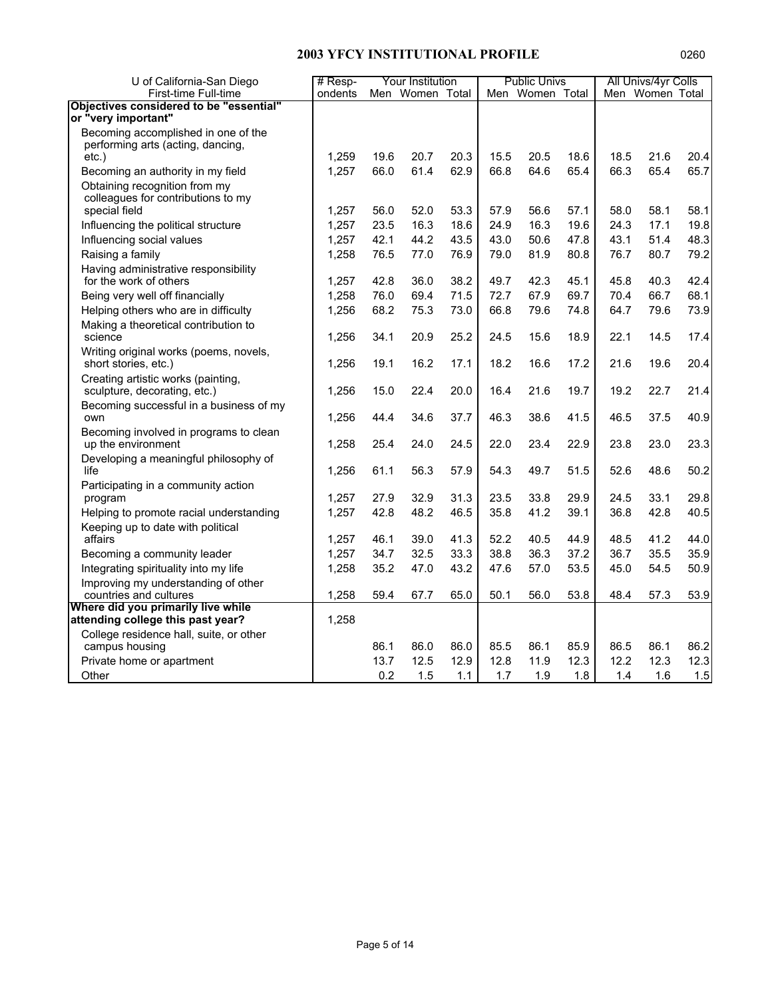| U of California-San Diego                                          | $#$ Resp-      |              | Your Institution |              |              | <b>Public Univs</b> |              |              | All Univs/4yr Colls |              |
|--------------------------------------------------------------------|----------------|--------------|------------------|--------------|--------------|---------------------|--------------|--------------|---------------------|--------------|
| First-time Full-time                                               | ondents        |              | Men Women Total  |              |              | Men Women Total     |              |              | Men Women Total     |              |
| Objectives considered to be "essential"                            |                |              |                  |              |              |                     |              |              |                     |              |
| or "very important"                                                |                |              |                  |              |              |                     |              |              |                     |              |
| Becoming accomplished in one of the                                |                |              |                  |              |              |                     |              |              |                     |              |
| performing arts (acting, dancing,<br>$etc.$ )                      | 1,259          | 19.6         | 20.7             | 20.3         | 15.5         | 20.5                | 18.6         | 18.5         | 21.6                | 20.4         |
| Becoming an authority in my field                                  | 1,257          | 66.0         | 61.4             | 62.9         | 66.8         | 64.6                | 65.4         | 66.3         | 65.4                | 65.7         |
| Obtaining recognition from my                                      |                |              |                  |              |              |                     |              |              |                     |              |
| colleagues for contributions to my                                 |                |              |                  |              |              |                     |              |              |                     |              |
| special field                                                      | 1,257          | 56.0         | 52.0             | 53.3         | 57.9         | 56.6                | 57.1         | 58.0         | 58.1                | 58.1         |
| Influencing the political structure                                | 1,257          | 23.5         | 16.3             | 18.6         | 24.9         | 16.3                | 19.6         | 24.3         | 17.1                | 19.8         |
| Influencing social values                                          | 1,257          | 42.1         | 44.2             | 43.5         | 43.0         | 50.6                | 47.8         | 43.1         | 51.4                | 48.3         |
| Raising a family                                                   | 1,258          | 76.5         | 77.0             | 76.9         | 79.0         | 81.9                | 80.8         | 76.7         | 80.7                | 79.2         |
| Having administrative responsibility                               |                |              |                  |              |              |                     |              |              |                     |              |
| for the work of others                                             | 1,257          | 42.8         | 36.0             | 38.2         | 49.7         | 42.3                | 45.1         | 45.8         | 40.3                | 42.4         |
| Being very well off financially                                    | 1,258          | 76.0         | 69.4             | 71.5         | 72.7         | 67.9                | 69.7         | 70.4         | 66.7                | 68.1         |
| Helping others who are in difficulty                               | 1,256          | 68.2         | 75.3             | 73.0         | 66.8         | 79.6                | 74.8         | 64.7         | 79.6                | 73.9         |
| Making a theoretical contribution to                               |                |              |                  |              |              |                     |              |              |                     |              |
| science                                                            | 1,256          | 34.1         | 20.9             | 25.2         | 24.5         | 15.6                | 18.9         | 22.1         | 14.5                | 17.4         |
| Writing original works (poems, novels,                             |                |              |                  |              |              |                     |              |              |                     |              |
| short stories, etc.)                                               | 1,256          | 19.1         | 16.2             | 17.1         | 18.2         | 16.6                | 17.2         | 21.6         | 19.6                | 20.4         |
| Creating artistic works (painting,<br>sculpture, decorating, etc.) | 1,256          | 15.0         | 22.4             | 20.0         | 16.4         | 21.6                | 19.7         | 19.2         | 22.7                | 21.4         |
| Becoming successful in a business of my                            |                |              |                  |              |              |                     |              |              |                     |              |
| own                                                                | 1,256          | 44.4         | 34.6             | 37.7         | 46.3         | 38.6                | 41.5         | 46.5         | 37.5                | 40.9         |
| Becoming involved in programs to clean                             |                |              |                  |              |              |                     |              |              |                     |              |
| up the environment                                                 | 1,258          | 25.4         | 24.0             | 24.5         | 22.0         | 23.4                | 22.9         | 23.8         | 23.0                | 23.3         |
| Developing a meaningful philosophy of                              |                |              |                  |              |              |                     |              |              |                     |              |
| life                                                               | 1,256          | 61.1         | 56.3             | 57.9         | 54.3         | 49.7                | 51.5         | 52.6         | 48.6                | 50.2         |
| Participating in a community action                                |                |              |                  |              |              |                     |              |              |                     |              |
| program                                                            | 1,257          | 27.9         | 32.9             | 31.3         | 23.5         | 33.8                | 29.9         | 24.5         | 33.1                | 29.8         |
| Helping to promote racial understanding                            | 1,257          | 42.8         | 48.2             | 46.5         | 35.8         | 41.2                | 39.1         | 36.8         | 42.8                | 40.5         |
| Keeping up to date with political                                  |                |              |                  |              |              |                     |              |              |                     |              |
| affairs                                                            | 1,257<br>1,257 | 46.1<br>34.7 | 39.0<br>32.5     | 41.3<br>33.3 | 52.2<br>38.8 | 40.5<br>36.3        | 44.9<br>37.2 | 48.5<br>36.7 | 41.2<br>35.5        | 44.0<br>35.9 |
| Becoming a community leader                                        | 1,258          | 35.2         |                  | 43.2         |              |                     | 53.5         |              |                     | 50.9         |
| Integrating spirituality into my life                              |                |              | 47.0             |              | 47.6         | 57.0                |              | 45.0         | 54.5                |              |
| Improving my understanding of other<br>countries and cultures      | 1,258          | 59.4         | 67.7             | 65.0         | 50.1         | 56.0                | 53.8         | 48.4         | 57.3                | 53.9         |
| Where did you primarily live while                                 |                |              |                  |              |              |                     |              |              |                     |              |
| attending college this past year?                                  | 1,258          |              |                  |              |              |                     |              |              |                     |              |
| College residence hall, suite, or other                            |                |              |                  |              |              |                     |              |              |                     |              |
| campus housing                                                     |                | 86.1         | 86.0             | 86.0         | 85.5         | 86.1                | 85.9         | 86.5         | 86.1                | 86.2         |
| Private home or apartment                                          |                | 13.7         | 12.5             | 12.9         | 12.8         | 11.9                | 12.3         | 12.2         | 12.3                | 12.3         |
| Other                                                              |                | 0.2          | 1.5              | 1.1          | 1.7          | 1.9                 | 1.8          | 1.4          | 1.6                 | 1.5          |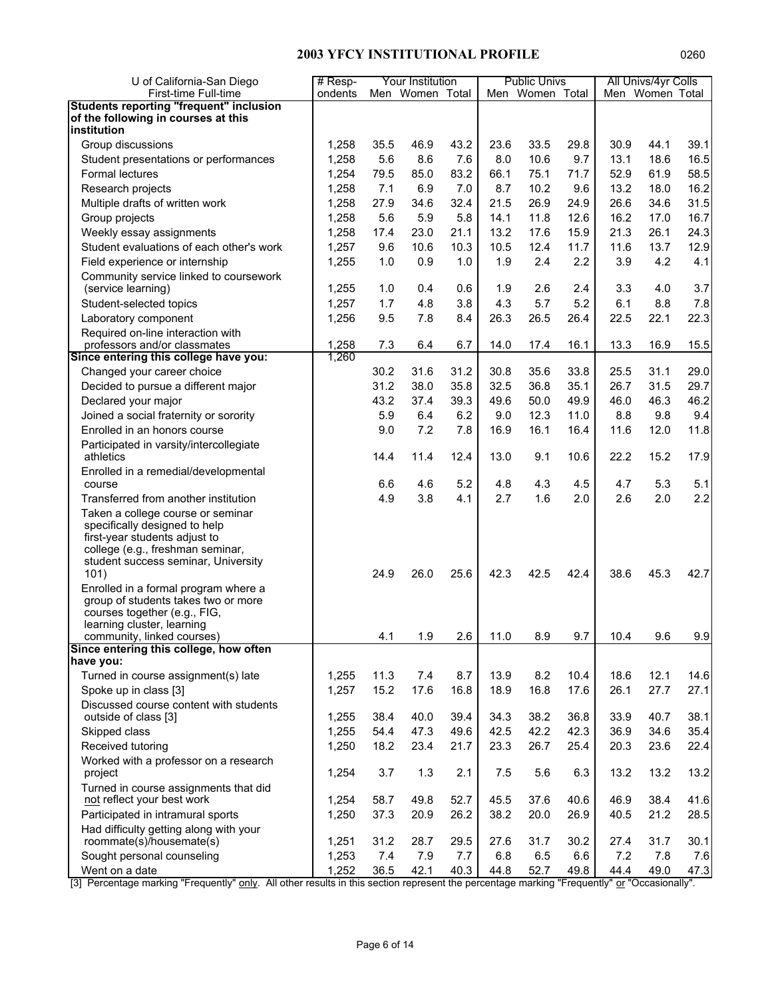| U of California-San Diego                                                           | $#$ Resp- |      | Your Institution                                             |      |      | <b>Public Univs</b> |      |      | All Univs/4yr Colls         |      |
|-------------------------------------------------------------------------------------|-----------|------|--------------------------------------------------------------|------|------|---------------------|------|------|-----------------------------|------|
| First-time Full-time                                                                | ondents   |      | Men Women Total                                              |      |      | Men Women Total     |      |      | Men Women Total             |      |
| <b>Students reporting "frequent" inclusion</b>                                      |           |      |                                                              |      |      |                     |      |      |                             |      |
| of the following in courses at this                                                 |           |      |                                                              |      |      |                     |      |      |                             |      |
| institution                                                                         |           |      |                                                              |      |      |                     |      |      |                             |      |
| Group discussions                                                                   | 1,258     | 35.5 | 46.9                                                         | 43.2 | 23.6 | 33.5                | 29.8 | 30.9 | 44.1                        | 39.1 |
| Student presentations or performances                                               | 1,258     | 5.6  | 8.6                                                          | 7.6  | 8.0  | 10.6                | 9.7  | 13.1 | 18.6                        | 16.5 |
| Formal lectures                                                                     | 1,254     | 79.5 | 85.0                                                         | 83.2 | 66.1 | 75.1                | 71.7 | 52.9 | 61.9                        | 58.5 |
| Research projects                                                                   | 1,258     | 7.1  | 6.9                                                          | 7.0  | 8.7  | 10.2                | 9.6  | 13.2 | 18.0                        | 16.2 |
| Multiple drafts of written work                                                     | 1,258     | 27.9 | 34.6                                                         | 32.4 | 21.5 | 26.9                | 24.9 | 26.6 | 34.6                        | 31.5 |
| Group projects                                                                      | 1,258     | 5.6  | 5.9                                                          | 5.8  | 14.1 | 11.8                | 12.6 | 16.2 | 17.0                        | 16.7 |
| Weekly essay assignments                                                            | 1,258     | 17.4 | 23.0                                                         | 21.1 | 13.2 | 17.6                | 15.9 | 21.3 | 26.1                        | 24.3 |
| Student evaluations of each other's work                                            | 1,257     | 9.6  | 10.6                                                         | 10.3 | 10.5 | 12.4                | 11.7 | 11.6 | 13.7                        | 12.9 |
| Field experience or internship                                                      | 1,255     | 1.0  | 0.9                                                          | 1.0  | 1.9  | 2.4                 | 2.2  | 3.9  | 4.2                         | 4.1  |
| Community service linked to coursework                                              |           |      |                                                              |      |      |                     |      |      |                             |      |
| (service learning)                                                                  | 1,255     | 1.0  | 0.4                                                          | 0.6  | 1.9  | 2.6                 | 2.4  | 3.3  | 4.0                         | 3.7  |
| Student-selected topics                                                             | 1,257     | 1.7  | 4.8                                                          | 3.8  | 4.3  | 5.7                 | 5.2  | 6.1  | 8.8                         | 7.8  |
| Laboratory component                                                                | 1,256     | 9.5  | 7.8                                                          | 8.4  | 26.3 | 26.5                | 26.4 | 22.5 | 22.1                        | 22.3 |
| Required on-line interaction with                                                   |           |      |                                                              |      |      |                     |      |      |                             |      |
| professors and/or classmates                                                        | 1,258     | 7.3  | 6.4                                                          | 6.7  | 14.0 | 17.4                | 16.1 | 13.3 | 16.9                        | 15.5 |
| Since entering this college have you:                                               | 1,260     |      |                                                              |      |      |                     |      |      |                             |      |
| Changed your career choice                                                          |           | 30.2 | 31.6                                                         | 31.2 | 30.8 | 35.6                | 33.8 | 25.5 | 31.1                        | 29.0 |
| Decided to pursue a different major                                                 |           | 31.2 | 38.0                                                         | 35.8 | 32.5 | 36.8                | 35.1 | 26.7 | 31.5                        | 29.7 |
| Declared your major                                                                 |           | 43.2 | 37.4                                                         | 39.3 | 49.6 | 50.0                | 49.9 | 46.0 | 46.3                        | 46.2 |
| Joined a social fraternity or sorority                                              |           | 5.9  | 6.4                                                          | 6.2  | 9.0  | 12.3                | 11.0 | 8.8  | 9.8                         | 9.4  |
| Enrolled in an honors course                                                        |           | 9.0  | 7.2                                                          | 7.8  | 16.9 | 16.1                | 16.4 | 11.6 | 12.0                        | 11.8 |
| Participated in varsity/intercollegiate                                             |           |      |                                                              |      |      |                     |      |      |                             |      |
| athletics                                                                           |           | 14.4 | 11.4                                                         | 12.4 | 13.0 | 9.1                 | 10.6 | 22.2 | 15.2                        | 17.9 |
| Enrolled in a remedial/developmental<br>course                                      |           | 6.6  | 4.6                                                          | 5.2  | 4.8  | 4.3                 | 4.5  | 4.7  | 5.3                         | 5.1  |
| Transferred from another institution                                                |           | 4.9  | 3.8                                                          | 4.1  | 2.7  | 1.6                 | 2.0  | 2.6  | 2.0                         | 2.2  |
| Taken a college course or seminar                                                   |           |      |                                                              |      |      |                     |      |      |                             |      |
| specifically designed to help                                                       |           |      |                                                              |      |      |                     |      |      |                             |      |
| first-year students adjust to                                                       |           |      |                                                              |      |      |                     |      |      |                             |      |
| college (e.g., freshman seminar,                                                    |           |      |                                                              |      |      |                     |      |      |                             |      |
| student success seminar, University                                                 |           |      |                                                              |      |      |                     |      |      |                             |      |
| 101)                                                                                |           | 24.9 | 26.0                                                         | 25.6 | 42.3 | 42.5                | 42.4 | 38.6 | 45.3                        | 42.7 |
| Enrolled in a formal program where a                                                |           |      |                                                              |      |      |                     |      |      |                             |      |
| group of students takes two or more                                                 |           |      |                                                              |      |      |                     |      |      |                             |      |
| courses together (e.g., FIG,<br>learning cluster, learning                          |           |      |                                                              |      |      |                     |      |      |                             |      |
| community, linked courses)                                                          |           | 4.1  | 1.9                                                          | 2.6  | 11.0 | 8.9                 | 9.7  | 10.4 | 9.6                         | 9.9  |
| Since entering this college, how often                                              |           |      |                                                              |      |      |                     |      |      |                             |      |
| have you:                                                                           |           |      |                                                              |      |      |                     |      |      |                             |      |
| Turned in course assignment(s) late                                                 | 1,255     | 11.3 | 7.4                                                          | 8.7  | 13.9 | 8.2                 | 10.4 | 18.6 | 12.1                        | 14.6 |
| Spoke up in class [3]                                                               | 1,257     | 15.2 | 17.6                                                         | 16.8 | 18.9 | 16.8                | 17.6 | 26.1 | 27.7                        | 27.1 |
| Discussed course content with students                                              |           |      |                                                              |      |      |                     |      |      |                             |      |
| outside of class [3]                                                                | 1,255     | 38.4 | 40.0                                                         | 39.4 | 34.3 | 38.2                | 36.8 | 33.9 | 40.7                        | 38.1 |
| Skipped class                                                                       | 1,255     | 54.4 | 47.3                                                         | 49.6 | 42.5 | 42.2                | 42.3 | 36.9 | 34.6                        | 35.4 |
| Received tutoring                                                                   | 1,250     | 18.2 | 23.4                                                         | 21.7 | 23.3 | 26.7                | 25.4 | 20.3 | 23.6                        | 22.4 |
| Worked with a professor on a research                                               |           |      |                                                              |      |      |                     |      |      |                             |      |
| project                                                                             | 1,254     | 3.7  | 1.3                                                          | 2.1  | 7.5  | 5.6                 | 6.3  | 13.2 | 13.2                        | 13.2 |
| Turned in course assignments that did                                               |           |      |                                                              |      |      |                     |      |      |                             |      |
| not reflect your best work                                                          | 1,254     | 58.7 | 49.8                                                         | 52.7 | 45.5 | 37.6                | 40.6 | 46.9 | 38.4                        | 41.6 |
| Participated in intramural sports                                                   | 1,250     | 37.3 | 20.9                                                         | 26.2 | 38.2 | 20.0                | 26.9 | 40.5 | 21.2                        | 28.5 |
| Had difficulty getting along with your                                              |           |      |                                                              |      |      |                     |      |      |                             |      |
| roommate(s)/housemate(s)                                                            | 1,251     | 31.2 | 28.7                                                         | 29.5 | 27.6 | 31.7                | 30.2 | 27.4 | 31.7                        | 30.1 |
| Sought personal counseling                                                          | 1,253     | 7.4  | 7.9                                                          | 7.7  | 6.8  | 6.5                 | 6.6  | 7.2  | 7.8                         | 7.6  |
| Went on a date<br>[2] Deceptore marking "Erequently" only All other requite in this | 1,252     | 36.5 | 42.1<br>cootion represent the persontage marking "Erequently | 40.3 | 44.8 | 52.7                | 49.8 | 44.4 | 49.0<br>" or "Oceanianally" | 47.3 |

[3] Percentage marking "Frequently" only. All other results in this section represent the percentage marking "Frequently" or "Occasionally".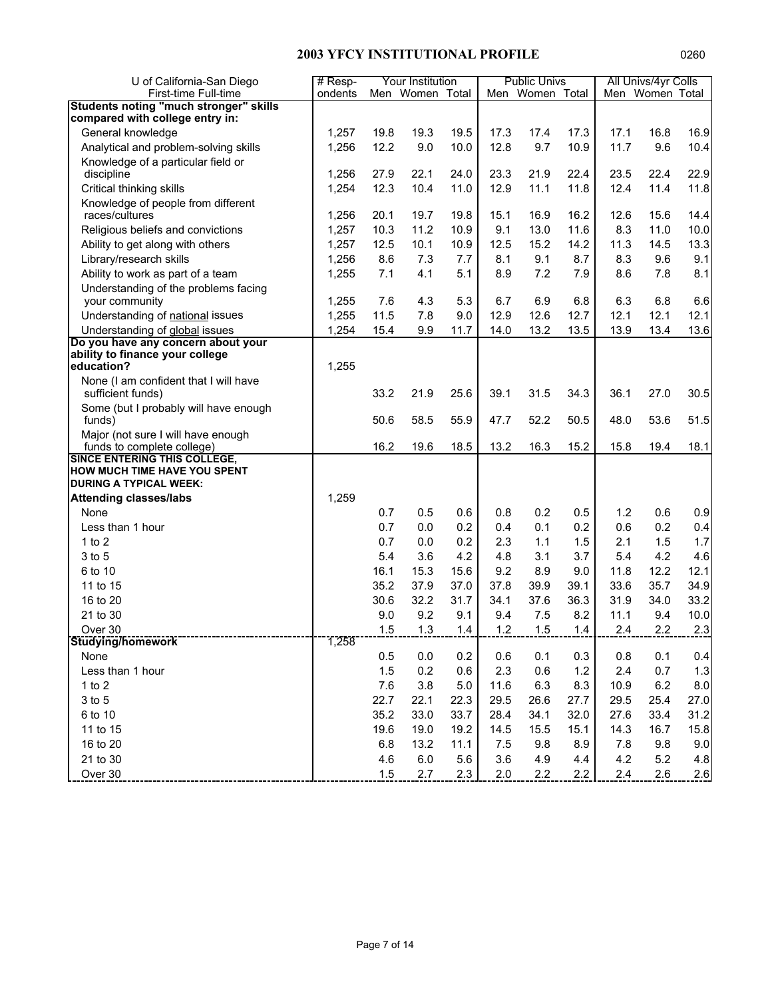| U of California-San Diego                                         | $#$ Resp- |      | Your Institution |         |      | <b>Public Univs</b> |      |      | All Univs/4yr Colls |      |
|-------------------------------------------------------------------|-----------|------|------------------|---------|------|---------------------|------|------|---------------------|------|
| First-time Full-time                                              | ondents   |      | Men Women Total  |         |      | Men Women Total     |      |      | Men Women Total     |      |
| <b>Students noting "much stronger" skills</b>                     |           |      |                  |         |      |                     |      |      |                     |      |
| compared with college entry in:                                   |           |      |                  |         |      |                     |      |      |                     |      |
| General knowledge                                                 | 1,257     | 19.8 | 19.3             | 19.5    | 17.3 | 17.4                | 17.3 | 17.1 | 16.8                | 16.9 |
| Analytical and problem-solving skills                             | 1,256     | 12.2 | 9.0              | 10.0    | 12.8 | 9.7                 | 10.9 | 11.7 | 9.6                 | 10.4 |
| Knowledge of a particular field or                                | 1,256     | 27.9 | 22.1             | 24.0    | 23.3 | 21.9                | 22.4 | 23.5 | 22.4                | 22.9 |
| discipline<br>Critical thinking skills                            | 1,254     | 12.3 | 10.4             | 11.0    | 12.9 | 11.1                | 11.8 | 12.4 | 11.4                | 11.8 |
| Knowledge of people from different                                |           |      |                  |         |      |                     |      |      |                     |      |
| races/cultures                                                    | 1,256     | 20.1 | 19.7             | 19.8    | 15.1 | 16.9                | 16.2 | 12.6 | 15.6                | 14.4 |
| Religious beliefs and convictions                                 | 1,257     | 10.3 | 11.2             | 10.9    | 9.1  | 13.0                | 11.6 | 8.3  | 11.0                | 10.0 |
| Ability to get along with others                                  | 1,257     | 12.5 | 10.1             | 10.9    | 12.5 | 15.2                | 14.2 | 11.3 | 14.5                | 13.3 |
| Library/research skills                                           | 1,256     | 8.6  | 7.3              | 7.7     | 8.1  | 9.1                 | 8.7  | 8.3  | 9.6                 | 9.1  |
| Ability to work as part of a team                                 | 1,255     | 7.1  | 4.1              | 5.1     | 8.9  | 7.2                 | 7.9  | 8.6  | 7.8                 | 8.1  |
| Understanding of the problems facing<br>your community            | 1,255     | 7.6  | 4.3              | 5.3     | 6.7  | 6.9                 | 6.8  | 6.3  | 6.8                 | 6.6  |
| Understanding of national issues                                  | 1,255     | 11.5 | 7.8              | 9.0     | 12.9 | 12.6                | 12.7 | 12.1 | 12.1                | 12.1 |
| Understanding of global issues                                    | 1,254     | 15.4 | 9.9              | 11.7    | 14.0 | 13.2                | 13.5 | 13.9 | 13.4                | 13.6 |
| Do you have any concern about your                                |           |      |                  |         |      |                     |      |      |                     |      |
| ability to finance your college                                   |           |      |                  |         |      |                     |      |      |                     |      |
| education?                                                        | 1,255     |      |                  |         |      |                     |      |      |                     |      |
| None (I am confident that I will have                             |           |      |                  |         |      |                     |      |      |                     |      |
| sufficient funds)                                                 |           | 33.2 | 21.9             | 25.6    | 39.1 | 31.5                | 34.3 | 36.1 | 27.0                | 30.5 |
| Some (but I probably will have enough<br>funds)                   |           | 50.6 | 58.5             | 55.9    | 47.7 | 52.2                | 50.5 | 48.0 | 53.6                | 51.5 |
| Major (not sure I will have enough                                |           |      |                  |         |      |                     |      |      |                     |      |
| funds to complete college)<br><b>SINCE ENTERING THIS COLLEGE,</b> |           | 16.2 | 19.6             | 18.5    | 13.2 | 16.3                | 15.2 | 15.8 | 19.4                | 18.1 |
| <b>HOW MUCH TIME HAVE YOU SPENT</b>                               |           |      |                  |         |      |                     |      |      |                     |      |
| <b>DURING A TYPICAL WEEK:</b>                                     |           |      |                  |         |      |                     |      |      |                     |      |
| <b>Attending classes/labs</b>                                     | 1,259     |      |                  |         |      |                     |      |      |                     |      |
| None                                                              |           | 0.7  | 0.5              | 0.6     | 0.8  | 0.2                 | 0.5  | 1.2  | 0.6                 | 0.9  |
| Less than 1 hour                                                  |           | 0.7  | 0.0              | 0.2     | 0.4  | 0.1                 | 0.2  | 0.6  | 0.2                 | 0.4  |
| $1$ to $2$                                                        |           | 0.7  | 0.0              | 0.2     | 2.3  | 1.1                 | 1.5  | 2.1  | 1.5                 | 1.7  |
| 3 to 5                                                            |           | 5.4  | 3.6              | 4.2     | 4.8  | 3.1                 | 3.7  | 5.4  | 4.2                 | 4.6  |
| 6 to 10                                                           |           | 16.1 | 15.3             | 15.6    | 9.2  | 8.9                 | 9.0  | 11.8 | 12.2                | 12.1 |
| 11 to 15                                                          |           | 35.2 | 37.9             | 37.0    | 37.8 | 39.9                | 39.1 | 33.6 | 35.7                | 34.9 |
| 16 to 20                                                          |           | 30.6 | 32.2             | 31.7    | 34.1 | 37.6                | 36.3 | 31.9 | 34.0                | 33.2 |
| 21 to 30                                                          |           | 9.0  | 9.2              | 9.1     | 9.4  | 7.5                 | 8.2  | 11.1 | 9.4                 | 10.0 |
| Over 30                                                           |           | 1.5  | 1.3              | 1.4     | 1.2  | 1.5                 | 1.4  | 2.4  | 2.2                 | 2.3  |
| <b>Studying/homework</b>                                          | 1,258     |      |                  |         |      |                     |      |      |                     |      |
| None                                                              |           | 0.5  | 0.0              | 0.2     | 0.6  | 0.1                 | 0.3  | 0.8  | 0.1                 | 0.4  |
| Less than 1 hour                                                  |           | 1.5  | 0.2              | 0.6     | 2.3  | 0.6                 | 1.2  | 2.4  | 0.7                 | 1.3  |
| $1$ to $2$                                                        |           | 7.6  | 3.8              | $5.0\,$ | 11.6 | 6.3                 | 8.3  | 10.9 | 6.2                 | 8.0  |
| 3 to 5                                                            |           | 22.7 | 22.1             | 22.3    | 29.5 | 26.6                | 27.7 | 29.5 | 25.4                | 27.0 |
| 6 to 10                                                           |           | 35.2 | 33.0             | 33.7    | 28.4 | 34.1                | 32.0 | 27.6 | 33.4                | 31.2 |
| 11 to 15                                                          |           | 19.6 | 19.0             | 19.2    | 14.5 | 15.5                | 15.1 | 14.3 | 16.7                | 15.8 |
| 16 to 20                                                          |           | 6.8  | 13.2             | 11.1    | 7.5  | 9.8                 | 8.9  | 7.8  | 9.8                 | 9.0  |
| 21 to 30                                                          |           | 4.6  | 6.0              | 5.6     | 3.6  | 4.9                 | 4.4  | 4.2  | 5.2                 | 4.8  |
| Over 30                                                           |           | 1.5  | 2.7              | 2.3     | 2.0  | 2.2                 | 2.2  | 2.4  | 2.6                 | 2.6  |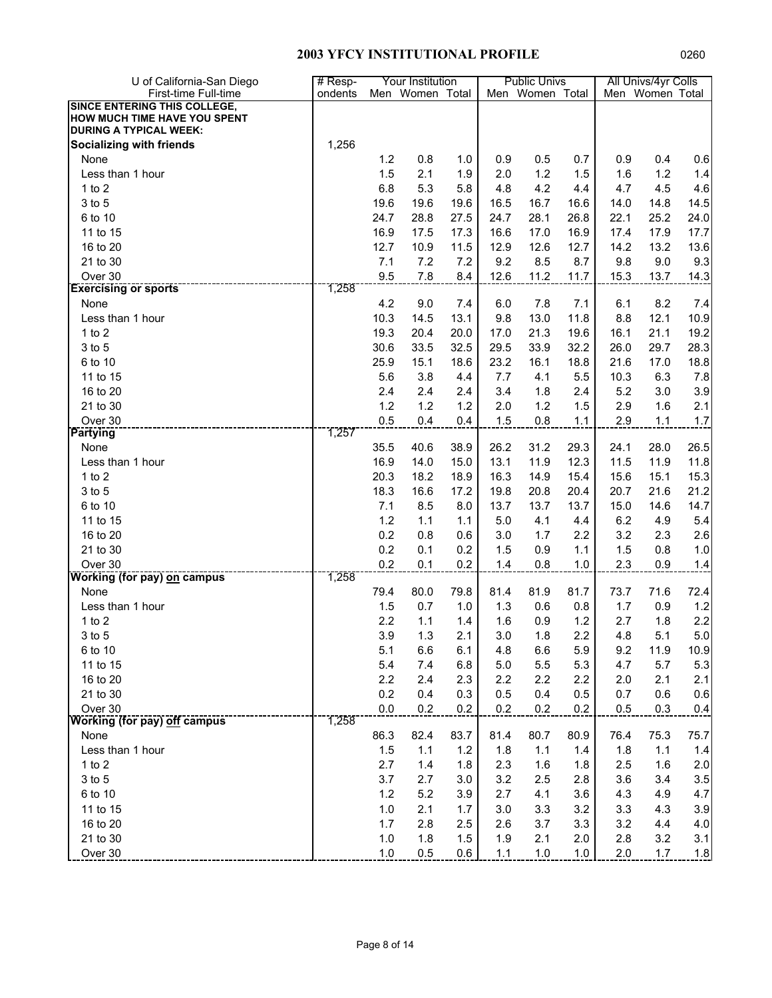| U of California-San Diego           | # Resp- |      | Your Institution |      |      | <b>Public Univs</b> |      |      | All Univs/4yr Colls |      |
|-------------------------------------|---------|------|------------------|------|------|---------------------|------|------|---------------------|------|
| First-time Full-time                | ondents |      | Men Women Total  |      |      | Men Women Total     |      |      | Men Women Total     |      |
| <b>SINCE ENTERING THIS COLLEGE,</b> |         |      |                  |      |      |                     |      |      |                     |      |
| HOW MUCH TIME HAVE YOU SPENT        |         |      |                  |      |      |                     |      |      |                     |      |
| <b>DURING A TYPICAL WEEK:</b>       |         |      |                  |      |      |                     |      |      |                     |      |
| <b>Socializing with friends</b>     | 1,256   |      |                  |      |      |                     |      |      |                     |      |
| None                                |         | 1.2  | 0.8              | 1.0  | 0.9  | 0.5                 | 0.7  | 0.9  | 0.4                 | 0.6  |
| Less than 1 hour                    |         | 1.5  | 2.1              | 1.9  | 2.0  | 1.2                 | 1.5  | 1.6  | 1.2                 | 1.4  |
| $1$ to $2$                          |         | 6.8  | 5.3              | 5.8  | 4.8  | 4.2                 | 4.4  | 4.7  | 4.5                 | 4.6  |
| 3 to 5                              |         | 19.6 | 19.6             | 19.6 | 16.5 | 16.7                | 16.6 | 14.0 | 14.8                | 14.5 |
| 6 to 10                             |         | 24.7 | 28.8             | 27.5 | 24.7 | 28.1                | 26.8 | 22.1 | 25.2                | 24.0 |
| 11 to 15                            |         | 16.9 | 17.5             | 17.3 | 16.6 | 17.0                | 16.9 | 17.4 | 17.9                | 17.7 |
| 16 to 20                            |         | 12.7 | 10.9             | 11.5 | 12.9 | 12.6                | 12.7 | 14.2 | 13.2                | 13.6 |
| 21 to 30                            |         | 7.1  | 7.2              | 7.2  | 9.2  | 8.5                 | 8.7  | 9.8  | 9.0                 | 9.3  |
| Over 30                             |         | 9.5  | 7.8              | 8.4  | 12.6 | 11.2                | 11.7 | 15.3 | 13.7                | 14.3 |
| <b>Exercising or sports</b>         | 1,258   |      |                  |      |      |                     |      |      |                     |      |
| None                                |         | 4.2  | 9.0              | 7.4  | 6.0  | 7.8                 | 7.1  | 6.1  | 8.2                 | 7.4  |
| Less than 1 hour                    |         | 10.3 | 14.5             | 13.1 | 9.8  | 13.0                | 11.8 | 8.8  | 12.1                | 10.9 |
| 1 to $2$                            |         | 19.3 | 20.4             | 20.0 | 17.0 | 21.3                | 19.6 | 16.1 | 21.1                | 19.2 |
| 3 to 5                              |         | 30.6 | 33.5             | 32.5 | 29.5 | 33.9                | 32.2 | 26.0 | 29.7                | 28.3 |
| 6 to 10                             |         | 25.9 | 15.1             | 18.6 | 23.2 | 16.1                | 18.8 | 21.6 | 17.0                | 18.8 |
| 11 to 15                            |         | 5.6  | 3.8              | 4.4  | 7.7  | 4.1                 | 5.5  | 10.3 | 6.3                 | 7.8  |
| 16 to 20                            |         | 2.4  | 2.4              | 2.4  | 3.4  | 1.8                 | 2.4  | 5.2  | 3.0                 | 3.9  |
| 21 to 30                            |         | 1.2  | 1.2              | 1.2  | 2.0  | 1.2                 | 1.5  | 2.9  | 1.6                 | 2.1  |
| Over 30                             |         | 0.5  | 0.4              | 0.4  | 1.5  | 0.8                 | 1.1  | 2.9  | 1.1                 | 1.7  |
| <b>Partying</b>                     | 1,257   |      |                  |      |      |                     |      |      |                     |      |
| None                                |         | 35.5 | 40.6             | 38.9 | 26.2 | 31.2                | 29.3 | 24.1 | 28.0                | 26.5 |
| Less than 1 hour                    |         | 16.9 | 14.0             | 15.0 | 13.1 | 11.9                | 12.3 | 11.5 | 11.9                | 11.8 |
| $1$ to $2$                          |         | 20.3 | 18.2             | 18.9 | 16.3 | 14.9                | 15.4 | 15.6 | 15.1                | 15.3 |
| 3 to 5                              |         | 18.3 | 16.6             | 17.2 | 19.8 | 20.8                | 20.4 | 20.7 | 21.6                | 21.2 |
| 6 to 10                             |         | 7.1  | 8.5              | 8.0  | 13.7 | 13.7                | 13.7 | 15.0 | 14.6                | 14.7 |
| 11 to 15                            |         | 1.2  | 1.1              | 1.1  | 5.0  | 4.1                 | 4.4  | 6.2  | 4.9                 | 5.4  |
| 16 to 20                            |         | 0.2  | 0.8              | 0.6  | 3.0  | 1.7                 | 2.2  | 3.2  | 2.3                 | 2.6  |
| 21 to 30                            |         | 0.2  | 0.1              | 0.2  | 1.5  | 0.9                 | 1.1  | 1.5  | 0.8                 | 1.0  |
| Over 30                             |         | 0.2  | 0.1              | 0.2  | 1.4  | 0.8                 | 1.0  | 2.3  | 0.9                 | 1.4  |
| <b>Working (for pay) on campus</b>  | 1,258   |      |                  |      |      |                     |      |      |                     |      |
| None                                |         | 79.4 | 80.0             | 79.8 | 81.4 | 81.9                | 81.7 | 73.7 | 71.6                | 72.4 |
| Less than 1 hour                    |         | 1.5  | 0.7              | 1.0  | 1.3  | 0.6                 | 0.8  | 1.7  | 0.9                 | 1.2  |
| $1$ to $2$                          |         | 2.2  | 1.1              | 1.4  | 1.6  | 0.9                 | 1.2  | 2.7  | 1.8                 | 2.2  |
| 3 to 5                              |         | 3.9  | 1.3              | 2.1  | 3.0  | 1.8                 | 2.2  | 4.8  | 5.1                 | 5.0  |
| 6 to 10                             |         | 5.1  | 6.6              | 6.1  | 4.8  | 6.6                 | 5.9  | 9.2  | 11.9                | 10.9 |
| 11 to 15                            |         | 5.4  | 7.4              | 6.8  | 5.0  | $5.5\,$             | 5.3  | 4.7  | 5.7                 | 5.3  |
| 16 to 20                            |         | 2.2  | 2.4              | 2.3  | 2.2  | 2.2                 | 2.2  | 2.0  | 2.1                 | 2.1  |
| 21 to 30                            |         | 0.2  | 0.4              | 0.3  | 0.5  | 0.4                 | 0.5  | 0.7  | 0.6                 | 0.6  |
| Over 30                             |         | 0.0  | 0.2              | 0.2  | 0.2  | 0.2                 | 0.2  | 0.5  | 0.3                 | 0.4  |
| Working (for pay) off campus        | 1,258   |      |                  |      |      |                     |      |      |                     |      |
| None                                |         | 86.3 | 82.4             | 83.7 | 81.4 | 80.7                | 80.9 | 76.4 | 75.3                | 75.7 |
| Less than 1 hour                    |         | 1.5  | 1.1              | 1.2  | 1.8  | 1.1                 | 1.4  | 1.8  | 1.1                 | 1.4  |
| 1 to $2$                            |         | 2.7  | 1.4              | 1.8  | 2.3  | 1.6                 | 1.8  | 2.5  | 1.6                 | 2.0  |
| 3 to 5                              |         | 3.7  | 2.7              | 3.0  | 3.2  | 2.5                 | 2.8  | 3.6  | 3.4                 | 3.5  |
| 6 to 10                             |         | 1.2  | 5.2              | 3.9  | 2.7  | 4.1                 | 3.6  | 4.3  | 4.9                 | 4.7  |
| 11 to 15                            |         | 1.0  | 2.1              | 1.7  | 3.0  | 3.3                 | 3.2  | 3.3  | 4.3                 | 3.9  |
| 16 to 20                            |         | 1.7  | 2.8              | 2.5  | 2.6  | 3.7                 | 3.3  | 3.2  | 4.4                 | 4.0  |
| 21 to 30                            |         | 1.0  | 1.8              | 1.5  | 1.9  | 2.1                 | 2.0  | 2.8  | 3.2                 | 3.1  |
| Over 30                             |         | 1.0  | 0.5              | 0.6  | 1.1  | 1.0                 | 1.0  | 2.0  | 1.7                 |      |
|                                     |         |      |                  |      |      |                     |      |      |                     | 1.8  |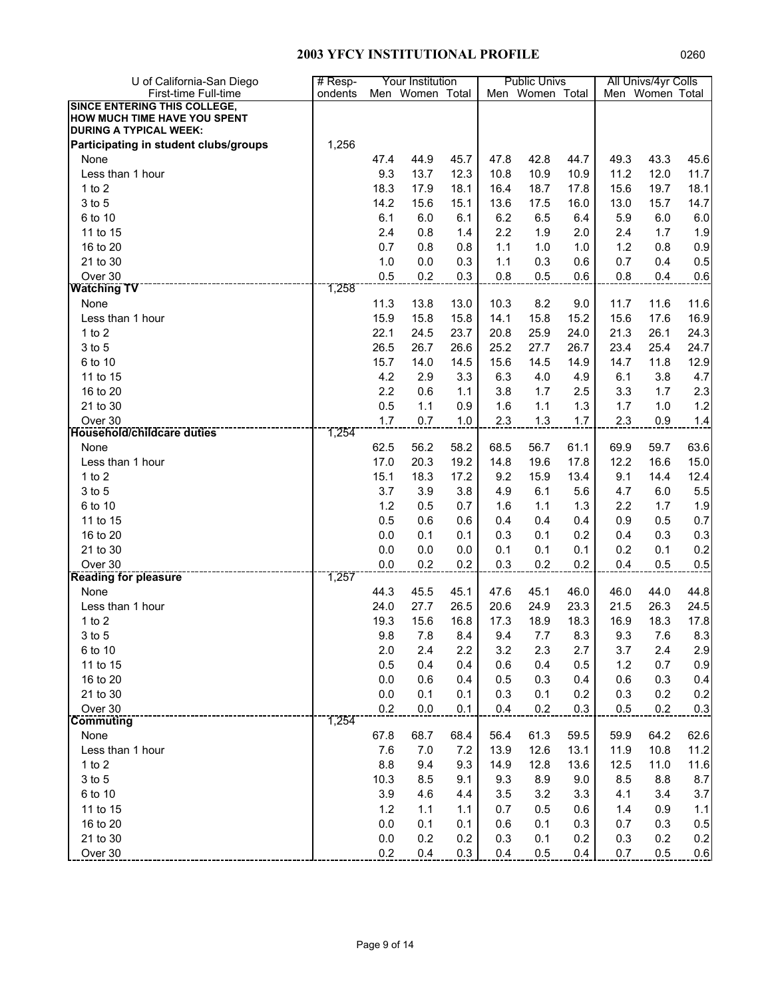| U of California-San Diego             | # Resp- |         | Your Institution |      |      | <b>Public Univs</b> |      |      | All Univs/4yr Colls |         |
|---------------------------------------|---------|---------|------------------|------|------|---------------------|------|------|---------------------|---------|
| First-time Full-time                  | ondents |         | Men Women Total  |      |      | Men Women Total     |      |      | Men Women Total     |         |
| <b>SINCE ENTERING THIS COLLEGE,</b>   |         |         |                  |      |      |                     |      |      |                     |         |
| HOW MUCH TIME HAVE YOU SPENT          |         |         |                  |      |      |                     |      |      |                     |         |
| <b>DURING A TYPICAL WEEK:</b>         |         |         |                  |      |      |                     |      |      |                     |         |
| Participating in student clubs/groups | 1,256   |         |                  |      |      |                     |      |      |                     |         |
| None                                  |         | 47.4    | 44.9             | 45.7 | 47.8 | 42.8                | 44.7 | 49.3 | 43.3                | 45.6    |
| Less than 1 hour                      |         | 9.3     | 13.7             | 12.3 | 10.8 | 10.9                | 10.9 | 11.2 | 12.0                | 11.7    |
| 1 to $2$                              |         | 18.3    | 17.9             | 18.1 | 16.4 | 18.7                | 17.8 | 15.6 | 19.7                | 18.1    |
| 3 to 5                                |         | 14.2    | 15.6             | 15.1 | 13.6 | 17.5                | 16.0 | 13.0 | 15.7                | 14.7    |
| 6 to 10                               |         | 6.1     | 6.0              | 6.1  | 6.2  | 6.5                 | 6.4  | 5.9  | 6.0                 | $6.0\,$ |
| 11 to 15                              |         | 2.4     | 0.8              | 1.4  | 2.2  | 1.9                 | 2.0  | 2.4  | 1.7                 | 1.9     |
| 16 to 20                              |         | 0.7     | 0.8              | 0.8  | 1.1  | 1.0                 | 1.0  | 1.2  | 0.8                 | 0.9     |
| 21 to 30                              |         | 1.0     | 0.0              | 0.3  | 1.1  | 0.3                 | 0.6  | 0.7  | 0.4                 | 0.5     |
| Over 30                               |         | 0.5     | 0.2              | 0.3  | 0.8  | 0.5                 | 0.6  | 0.8  | 0.4                 | 0.6     |
| <b>Watching TV</b>                    | 1,258   |         |                  |      |      |                     |      |      |                     |         |
| None                                  |         | 11.3    | 13.8             | 13.0 | 10.3 | 8.2                 | 9.0  | 11.7 | 11.6                | 11.6    |
| Less than 1 hour                      |         | 15.9    | 15.8             | 15.8 | 14.1 | 15.8                | 15.2 | 15.6 | 17.6                | 16.9    |
| 1 to $2$                              |         | 22.1    | 24.5             | 23.7 | 20.8 | 25.9                | 24.0 | 21.3 | 26.1                | 24.3    |
| 3 to 5                                |         | 26.5    | 26.7             | 26.6 | 25.2 | 27.7                | 26.7 | 23.4 | 25.4                | 24.7    |
| 6 to 10                               |         | 15.7    | 14.0             | 14.5 | 15.6 | 14.5                | 14.9 | 14.7 | 11.8                | 12.9    |
| 11 to 15                              |         | 4.2     | 2.9              | 3.3  | 6.3  | 4.0                 | 4.9  | 6.1  | 3.8                 | 4.7     |
| 16 to 20                              |         | 2.2     | 0.6              | 1.1  | 3.8  | 1.7                 | 2.5  | 3.3  | 1.7                 | 2.3     |
| 21 to 30                              |         | 0.5     | 1.1              | 0.9  | 1.6  | 1.1                 | 1.3  | 1.7  | 1.0                 | 1.2     |
| Over 30                               |         | 1.7     | 0.7              | 1.0  | 2.3  | 1.3                 | 1.7  | 2.3  | 0.9                 | 1.4     |
| <b>Household/childcare duties</b>     | 1,254   |         |                  |      |      |                     |      |      |                     |         |
| None                                  |         | 62.5    | 56.2             | 58.2 | 68.5 | 56.7                | 61.1 | 69.9 | 59.7                | 63.6    |
| Less than 1 hour                      |         | 17.0    | 20.3             | 19.2 | 14.8 | 19.6                | 17.8 | 12.2 | 16.6                | 15.0    |
| $1$ to $2$                            |         | 15.1    | 18.3             | 17.2 | 9.2  | 15.9                | 13.4 | 9.1  | 14.4                | 12.4    |
| 3 to 5                                |         | 3.7     | 3.9              | 3.8  | 4.9  | 6.1                 | 5.6  | 4.7  | 6.0                 | 5.5     |
| 6 to 10                               |         | 1.2     | 0.5              | 0.7  | 1.6  | 1.1                 | 1.3  | 2.2  | 1.7                 | 1.9     |
| 11 to 15                              |         | 0.5     | 0.6              | 0.6  | 0.4  | 0.4                 | 0.4  | 0.9  | 0.5                 | 0.7     |
| 16 to 20                              |         | $0.0\,$ | 0.1              | 0.1  | 0.3  | 0.1                 | 0.2  | 0.4  | 0.3                 | 0.3     |
| 21 to 30                              |         | $0.0\,$ | 0.0              | 0.0  | 0.1  | 0.1                 | 0.1  | 0.2  | 0.1                 | 0.2     |
| Over 30                               |         | 0.0     | 0.2              | 0.2  | 0.3  | 0.2                 | 0.2  | 0.4  | 0.5                 | 0.5     |
| <b>Reading for pleasure</b>           | 1,257   |         |                  |      |      |                     |      |      |                     |         |
| None                                  |         | 44.3    | 45.5             | 45.1 | 47.6 | 45.1                | 46.0 | 46.0 | 44.0                | 44.8    |
| Less than 1 hour                      |         | 24.0    | 27.7             | 26.5 | 20.6 | 24.9                | 23.3 | 21.5 | 26.3                | 24.5    |
| 1 to $2$                              |         | 19.3    | 15.6             | 16.8 | 17.3 | 18.9                | 18.3 | 16.9 | 18.3                | 17.8    |
| 3 to 5                                |         | 9.8     | 7.8              | 8.4  | 9.4  | 7.7                 | 8.3  | 9.3  | 7.6                 | 8.3     |
| 6 to 10                               |         | 2.0     | 2.4              | 2.2  | 3.2  | 2.3                 | 2.7  | 3.7  | 2.4                 | 2.9     |
| 11 to 15                              |         | 0.5     | 0.4              | 0.4  |      | 0.4                 | 0.5  | 1.2  | 0.7                 | $0.9\,$ |
|                                       |         |         |                  |      | 0.6  |                     |      |      |                     |         |
| 16 to 20                              |         | $0.0\,$ | 0.6              | 0.4  | 0.5  | 0.3                 | 0.4  | 0.6  | 0.3                 | 0.4     |
| 21 to 30                              |         | $0.0\,$ | 0.1              | 0.1  | 0.3  | 0.1                 | 0.2  | 0.3  | 0.2                 | 0.2     |
| Over 30<br><b>Commuting</b>           | 1,254   | 0.2     | 0.0              | 0.1  | 0.4  | 0.2                 | 0.3  | 0.5  | 0.2                 | 0.3     |
| None                                  |         | 67.8    | 68.7             | 68.4 | 56.4 | 61.3                | 59.5 | 59.9 | 64.2                | 62.6    |
|                                       |         |         |                  |      |      |                     |      |      |                     |         |
| Less than 1 hour                      |         | 7.6     | 7.0              | 7.2  | 13.9 | 12.6                | 13.1 | 11.9 | 10.8                | 11.2    |
| 1 to 2                                |         | 8.8     | 9.4              | 9.3  | 14.9 | 12.8                | 13.6 | 12.5 | 11.0                | 11.6    |
| 3 to 5                                |         | 10.3    | 8.5              | 9.1  | 9.3  | 8.9                 | 9.0  | 8.5  | 8.8                 | 8.7     |
| 6 to 10                               |         | 3.9     | 4.6              | 4.4  | 3.5  | 3.2                 | 3.3  | 4.1  | 3.4                 | 3.7     |
| 11 to 15                              |         | 1.2     | 1.1              | 1.1  | 0.7  | 0.5                 | 0.6  | 1.4  | 0.9                 | 1.1     |
| 16 to 20                              |         | 0.0     | 0.1              | 0.1  | 0.6  | 0.1                 | 0.3  | 0.7  | 0.3                 | 0.5     |
| 21 to 30                              |         | $0.0\,$ | 0.2              | 0.2  | 0.3  | 0.1                 | 0.2  | 0.3  | 0.2                 | 0.2     |
| Over 30                               |         | 0.2     | 0.4              | 0.3  | 0.4  | 0.5                 | 0.4  | 0.7  | 0.5                 | 0.6     |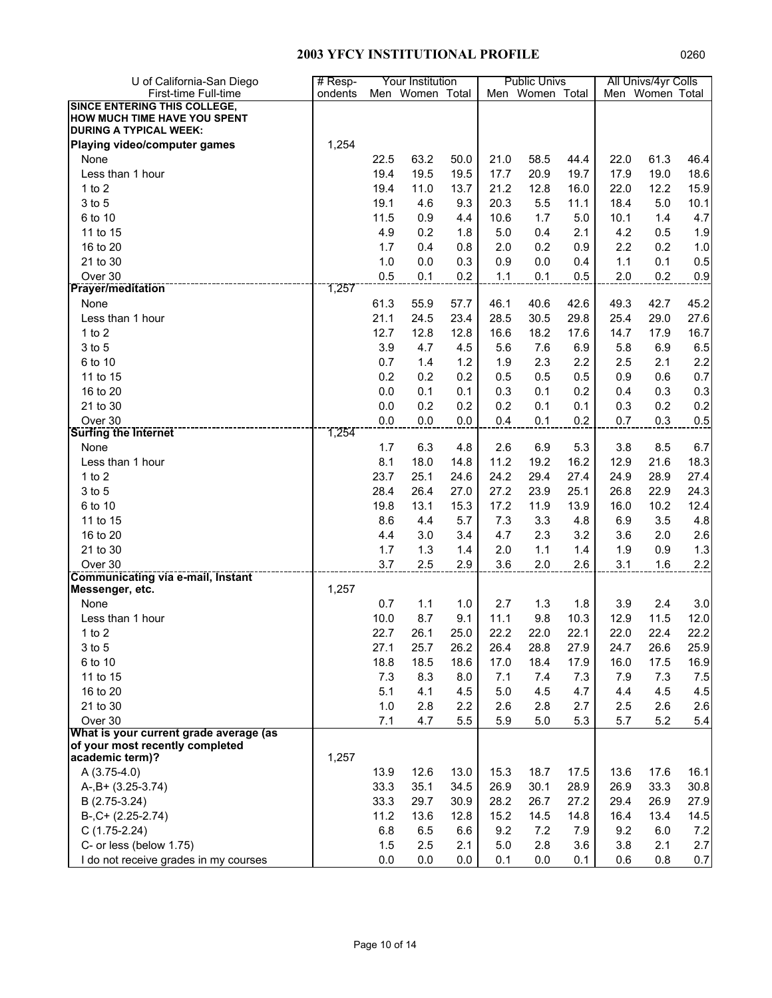| U of California-San Diego                | # Resp- |      | Your Institution |      |      | <b>Public Univs</b> |      |      | All Univs/4yr Colls |       |
|------------------------------------------|---------|------|------------------|------|------|---------------------|------|------|---------------------|-------|
| First-time Full-time                     | ondents |      | Men Women Total  |      |      | Men Women Total     |      |      | Men Women Total     |       |
| <b>SINCE ENTERING THIS COLLEGE,</b>      |         |      |                  |      |      |                     |      |      |                     |       |
| HOW MUCH TIME HAVE YOU SPENT             |         |      |                  |      |      |                     |      |      |                     |       |
| <b>DURING A TYPICAL WEEK:</b>            |         |      |                  |      |      |                     |      |      |                     |       |
| <b>Playing video/computer games</b>      | 1,254   |      |                  |      |      |                     |      |      |                     |       |
| None                                     |         | 22.5 | 63.2             | 50.0 | 21.0 | 58.5                | 44.4 | 22.0 | 61.3                | 46.4  |
| Less than 1 hour                         |         | 19.4 | 19.5             | 19.5 | 17.7 | 20.9                | 19.7 | 17.9 | 19.0                | 18.6  |
| $1$ to $2$                               |         | 19.4 | 11.0             | 13.7 | 21.2 | 12.8                | 16.0 | 22.0 | 12.2                | 15.9  |
| 3 to 5                                   |         | 19.1 | 4.6              | 9.3  | 20.3 | 5.5                 | 11.1 | 18.4 | 5.0                 | 10.1  |
| 6 to 10                                  |         | 11.5 | 0.9              | 4.4  | 10.6 | 1.7                 | 5.0  | 10.1 | 1.4                 | 4.7   |
| 11 to 15                                 |         | 4.9  | 0.2              | 1.8  | 5.0  | 0.4                 | 2.1  | 4.2  | 0.5                 | 1.9   |
| 16 to 20                                 |         | 1.7  | 0.4              | 0.8  | 2.0  | 0.2                 | 0.9  | 2.2  | 0.2                 | $1.0$ |
| 21 to 30                                 |         | 1.0  | 0.0              | 0.3  | 0.9  | 0.0                 | 0.4  | 1.1  | 0.1                 | 0.5   |
| Over 30                                  |         | 0.5  | 0.1              | 0.2  | 1.1  | 0.1                 | 0.5  | 2.0  | 0.2                 | 0.9   |
| <b>Prayer/meditation</b>                 | 1,257   |      |                  |      |      |                     |      |      |                     |       |
| None                                     |         | 61.3 | 55.9             | 57.7 | 46.1 | 40.6                | 42.6 | 49.3 | 42.7                | 45.2  |
| Less than 1 hour                         |         | 21.1 | 24.5             | 23.4 | 28.5 | 30.5                | 29.8 | 25.4 | 29.0                | 27.6  |
| 1 to $2$                                 |         | 12.7 | 12.8             | 12.8 | 16.6 | 18.2                | 17.6 | 14.7 | 17.9                | 16.7  |
| 3 to 5                                   |         | 3.9  | 4.7              | 4.5  | 5.6  | 7.6                 | 6.9  | 5.8  | 6.9                 | 6.5   |
| 6 to 10                                  |         |      |                  |      |      |                     |      |      |                     |       |
|                                          |         | 0.7  | 1.4              | 1.2  | 1.9  | 2.3                 | 2.2  | 2.5  | 2.1                 | 2.2   |
| 11 to 15                                 |         | 0.2  | 0.2              | 0.2  | 0.5  | 0.5                 | 0.5  | 0.9  | 0.6                 | 0.7   |
| 16 to 20                                 |         | 0.0  | 0.1              | 0.1  | 0.3  | 0.1                 | 0.2  | 0.4  | 0.3                 | 0.3   |
| 21 to 30                                 |         | 0.0  | 0.2              | 0.2  | 0.2  | 0.1                 | 0.1  | 0.3  | 0.2                 | 0.2   |
| Over 30                                  | 1,254   | 0.0  | 0.0              | 0.0  | 0.4  | 0.1                 | 0.2  | 0.7  | 0.3                 | 0.5   |
| <b>Surfing the Internet</b>              |         |      |                  |      |      |                     |      |      |                     |       |
| None                                     |         | 1.7  | 6.3              | 4.8  | 2.6  | 6.9                 | 5.3  | 3.8  | 8.5                 | 6.7   |
| Less than 1 hour                         |         | 8.1  | 18.0             | 14.8 | 11.2 | 19.2                | 16.2 | 12.9 | 21.6                | 18.3  |
| 1 to $2$                                 |         | 23.7 | 25.1             | 24.6 | 24.2 | 29.4                | 27.4 | 24.9 | 28.9                | 27.4  |
| 3 to 5                                   |         | 28.4 | 26.4             | 27.0 | 27.2 | 23.9                | 25.1 | 26.8 | 22.9                | 24.3  |
| 6 to 10                                  |         | 19.8 | 13.1             | 15.3 | 17.2 | 11.9                | 13.9 | 16.0 | 10.2                | 12.4  |
| 11 to 15                                 |         | 8.6  | 4.4              | 5.7  | 7.3  | 3.3                 | 4.8  | 6.9  | 3.5                 | 4.8   |
| 16 to 20                                 |         | 4.4  | 3.0              | 3.4  | 4.7  | 2.3                 | 3.2  | 3.6  | 2.0                 | 2.6   |
| 21 to 30                                 |         | 1.7  | 1.3              | 1.4  | 2.0  | 1.1                 | 1.4  | 1.9  | 0.9                 | 1.3   |
| Over 30                                  |         | 3.7  | 2.5              | 2.9  | 3.6  | 2.0                 | 2.6  | 3.1  | 1.6                 | 2.2   |
| <b>Communicating via e-mail, Instant</b> |         |      |                  |      |      |                     |      |      |                     |       |
| Messenger, etc.                          | 1,257   |      |                  |      |      |                     |      |      |                     |       |
| None                                     |         | 0.7  | 1.1              | 1.0  | 2.7  | 1.3                 | 1.8  | 3.9  | 2.4                 | 3.0   |
| Less than 1 hour                         |         | 10.0 | 8.7              | 9.1  | 11.1 | 9.8                 | 10.3 | 12.9 | 11.5                | 12.0  |
| 1 to $2$                                 |         | 22.7 | 26.1             | 25.0 | 22.2 | 22.0                | 22.1 | 22.0 | 22.4                | 22.2  |
| $3$ to $5$                               |         | 27.1 | 25.7             | 26.2 | 26.4 | 28.8                | 27.9 | 24.7 | 26.6                | 25.9  |
| 6 to 10                                  |         | 18.8 | 18.5             | 18.6 | 17.0 | 18.4                | 17.9 | 16.0 | 17.5                | 16.9  |
| 11 to 15                                 |         | 7.3  | 8.3              | 8.0  | 7.1  | 7.4                 | 7.3  | 7.9  | 7.3                 | 7.5   |
| 16 to 20                                 |         | 5.1  | 4.1              | 4.5  | 5.0  | 4.5                 | 4.7  | 4.4  | 4.5                 | 4.5   |
| 21 to 30                                 |         | 1.0  | 2.8              | 2.2  | 2.6  | 2.8                 | 2.7  | 2.5  | 2.6                 | 2.6   |
| Over 30                                  |         | 7.1  | 4.7              | 5.5  | 5.9  | 5.0                 | 5.3  | 5.7  | 5.2                 | 5.4   |
| What is your current grade average (as   |         |      |                  |      |      |                     |      |      |                     |       |
| of your most recently completed          |         |      |                  |      |      |                     |      |      |                     |       |
| academic term)?                          | 1,257   |      |                  |      |      |                     |      |      |                     |       |
| A (3.75-4.0)                             |         | 13.9 | 12.6             | 13.0 | 15.3 | 18.7                | 17.5 | 13.6 | 17.6                | 16.1  |
| $A-, B+ (3.25-3.74)$                     |         | 33.3 | 35.1             | 34.5 | 26.9 | 30.1                | 28.9 | 26.9 | 33.3                | 30.8  |
| B (2.75-3.24)                            |         | 33.3 | 29.7             | 30.9 | 28.2 | 26.7                | 27.2 | 29.4 | 26.9                | 27.9  |
| $B-, C+ (2.25-2.74)$                     |         | 11.2 | 13.6             | 12.8 | 15.2 | 14.5                | 14.8 | 16.4 | 13.4                | 14.5  |
| $C(1.75-2.24)$                           |         | 6.8  | 6.5              | 6.6  | 9.2  | 7.2                 | 7.9  | 9.2  | 6.0                 | 7.2   |
| C- or less (below 1.75)                  |         | 1.5  | 2.5              | 2.1  | 5.0  | 2.8                 | 3.6  | 3.8  | 2.1                 | 2.7   |
| I do not receive grades in my courses    |         | 0.0  | 0.0              | 0.0  | 0.1  | 0.0                 | 0.1  | 0.6  | 0.8                 | 0.7   |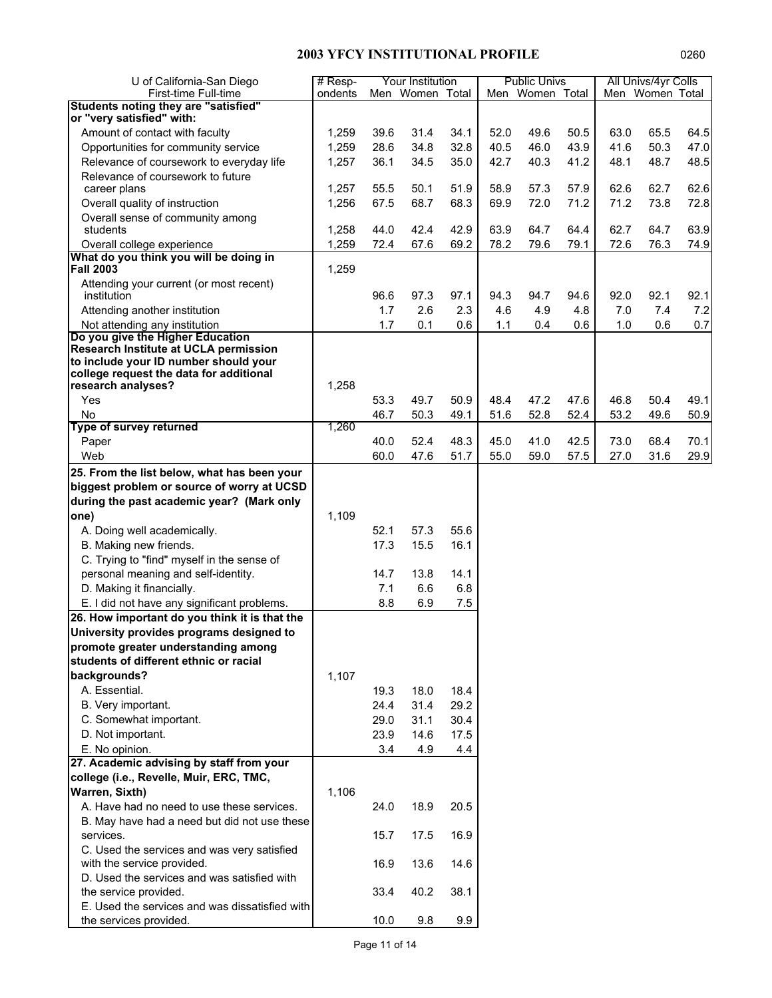| U of California-San Diego                                         | # Resp- |      | Your Institution |      |      | <b>Public Univs</b> |      |      | All Univs/4yr Colls |      |
|-------------------------------------------------------------------|---------|------|------------------|------|------|---------------------|------|------|---------------------|------|
| First-time Full-time<br>Students noting they are "satisfied"      | ondents |      | Men Women Total  |      |      | Men Women Total     |      |      | Men Women Total     |      |
| or "very satisfied" with:                                         |         |      |                  |      |      |                     |      |      |                     |      |
| Amount of contact with faculty                                    | 1,259   | 39.6 | 31.4             | 34.1 | 52.0 | 49.6                | 50.5 | 63.0 | 65.5                | 64.5 |
| Opportunities for community service                               | 1,259   | 28.6 | 34.8             | 32.8 | 40.5 | 46.0                | 43.9 | 41.6 | 50.3                | 47.0 |
| Relevance of coursework to everyday life                          | 1,257   | 36.1 | 34.5             | 35.0 | 42.7 | 40.3                | 41.2 | 48.1 | 48.7                | 48.5 |
| Relevance of coursework to future                                 |         |      |                  |      |      |                     |      |      |                     |      |
| career plans                                                      | 1,257   | 55.5 | 50.1             | 51.9 | 58.9 | 57.3                | 57.9 | 62.6 | 62.7                | 62.6 |
| Overall quality of instruction                                    | 1,256   | 67.5 | 68.7             | 68.3 | 69.9 | 72.0                | 71.2 | 71.2 | 73.8                | 72.8 |
| Overall sense of community among                                  |         |      |                  |      |      |                     |      |      |                     |      |
| students                                                          | 1,258   | 44.0 | 42.4             | 42.9 | 63.9 | 64.7                | 64.4 | 62.7 | 64.7                | 63.9 |
| Overall college experience                                        | 1,259   | 72.4 | 67.6             | 69.2 | 78.2 | 79.6                | 79.1 | 72.6 | 76.3                | 74.9 |
| What do you think you will be doing in                            |         |      |                  |      |      |                     |      |      |                     |      |
| <b>Fall 2003</b>                                                  | 1,259   |      |                  |      |      |                     |      |      |                     |      |
| Attending your current (or most recent)                           |         |      |                  |      |      |                     |      |      |                     |      |
| institution                                                       |         | 96.6 | 97.3             | 97.1 | 94.3 | 94.7                | 94.6 | 92.0 | 92.1                | 92.1 |
| Attending another institution                                     |         | 1.7  | 2.6              | 2.3  | 4.6  | 4.9                 | 4.8  | 7.0  | 7.4                 | 7.2  |
| Not attending any institution<br>Do you give the Higher Education |         | 1.7  | 0.1              | 0.6  | 1.1  | 0.4                 | 0.6  | 1.0  | 0.6                 | 0.7  |
| Research Institute at UCLA permission                             |         |      |                  |      |      |                     |      |      |                     |      |
| to include your ID number should your                             |         |      |                  |      |      |                     |      |      |                     |      |
| college request the data for additional                           |         |      |                  |      |      |                     |      |      |                     |      |
| research analyses?                                                | 1,258   |      |                  |      |      |                     |      |      |                     |      |
| Yes                                                               |         | 53.3 | 49.7             | 50.9 | 48.4 | 47.2                | 47.6 | 46.8 | 50.4                | 49.1 |
| No                                                                |         | 46.7 | 50.3             | 49.1 | 51.6 | 52.8                | 52.4 | 53.2 | 49.6                | 50.9 |
| Type of survey returned                                           | 1,260   |      |                  |      |      |                     |      |      |                     |      |
| Paper                                                             |         | 40.0 | 52.4             | 48.3 | 45.0 | 41.0                | 42.5 | 73.0 | 68.4                | 70.1 |
| Web                                                               |         | 60.0 | 47.6             | 51.7 | 55.0 | 59.0                | 57.5 | 27.0 | 31.6                | 29.9 |
| 25. From the list below, what has been your                       |         |      |                  |      |      |                     |      |      |                     |      |
| biggest problem or source of worry at UCSD                        |         |      |                  |      |      |                     |      |      |                     |      |
| during the past academic year? (Mark only                         |         |      |                  |      |      |                     |      |      |                     |      |
| one)                                                              | 1,109   |      |                  |      |      |                     |      |      |                     |      |
| A. Doing well academically.                                       |         | 52.1 | 57.3             | 55.6 |      |                     |      |      |                     |      |
| B. Making new friends.                                            |         | 17.3 | 15.5             | 16.1 |      |                     |      |      |                     |      |
| C. Trying to "find" myself in the sense of                        |         |      |                  |      |      |                     |      |      |                     |      |
| personal meaning and self-identity.                               |         | 14.7 | 13.8             | 14.1 |      |                     |      |      |                     |      |
| D. Making it financially.                                         |         | 7.1  | 6.6              | 6.8  |      |                     |      |      |                     |      |
| E. I did not have any significant problems.                       |         | 8.8  | 6.9              | 7.5  |      |                     |      |      |                     |      |
| 26. How important do you think it is that the                     |         |      |                  |      |      |                     |      |      |                     |      |
| University provides programs designed to                          |         |      |                  |      |      |                     |      |      |                     |      |
| promote greater understanding among                               |         |      |                  |      |      |                     |      |      |                     |      |
| students of different ethnic or racial                            |         |      |                  |      |      |                     |      |      |                     |      |
| backgrounds?                                                      | 1,107   |      |                  |      |      |                     |      |      |                     |      |
| A. Essential.                                                     |         | 19.3 | 18.0             | 18.4 |      |                     |      |      |                     |      |
| B. Very important.                                                |         | 24.4 | 31.4             | 29.2 |      |                     |      |      |                     |      |
| C. Somewhat important.                                            |         | 29.0 | 31.1             | 30.4 |      |                     |      |      |                     |      |
| D. Not important.                                                 |         | 23.9 | 14.6             | 17.5 |      |                     |      |      |                     |      |
| E. No opinion.                                                    |         | 3.4  | 4.9              | 4.4  |      |                     |      |      |                     |      |
| 27. Academic advising by staff from your                          |         |      |                  |      |      |                     |      |      |                     |      |
| college (i.e., Revelle, Muir, ERC, TMC,                           |         |      |                  |      |      |                     |      |      |                     |      |
| Warren, Sixth)                                                    | 1,106   |      |                  |      |      |                     |      |      |                     |      |
| A. Have had no need to use these services.                        |         | 24.0 | 18.9             | 20.5 |      |                     |      |      |                     |      |
| B. May have had a need but did not use these                      |         |      |                  |      |      |                     |      |      |                     |      |
| services.                                                         |         | 15.7 | 17.5             | 16.9 |      |                     |      |      |                     |      |
| C. Used the services and was very satisfied                       |         |      |                  |      |      |                     |      |      |                     |      |
| with the service provided.                                        |         | 16.9 | 13.6             | 14.6 |      |                     |      |      |                     |      |
| D. Used the services and was satisfied with                       |         |      |                  |      |      |                     |      |      |                     |      |
| the service provided.                                             |         | 33.4 | 40.2             | 38.1 |      |                     |      |      |                     |      |
| E. Used the services and was dissatisfied with                    |         |      |                  |      |      |                     |      |      |                     |      |
| the services provided.                                            |         | 10.0 | 9.8              | 9.9  |      |                     |      |      |                     |      |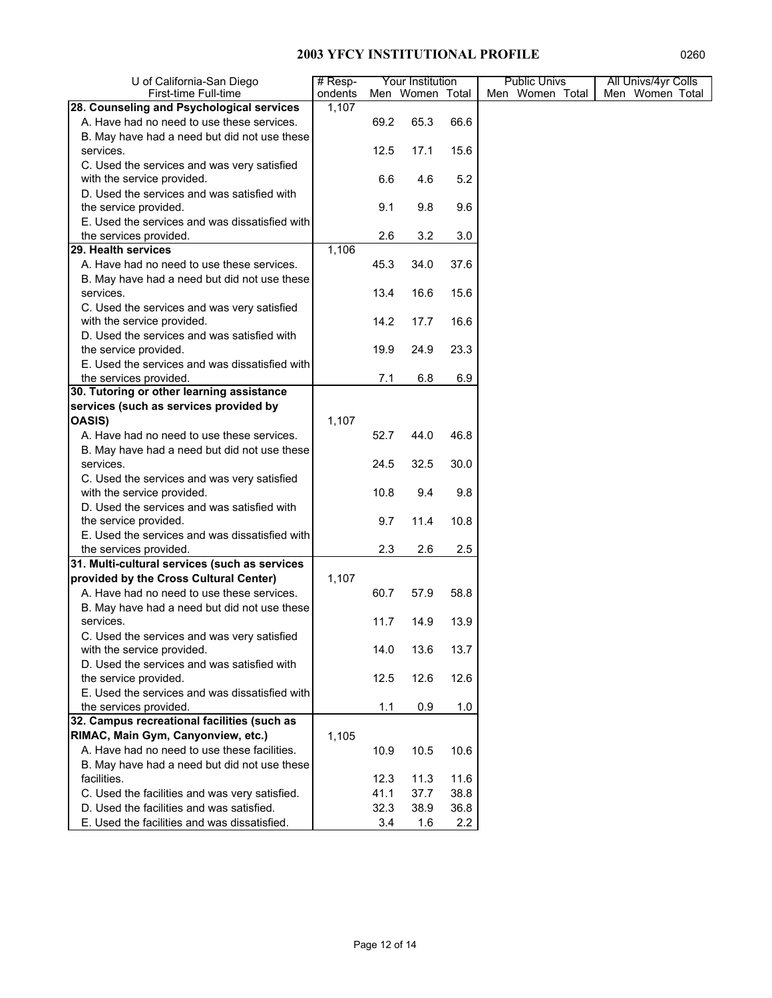| U of California-San Diego                                                 | $#$ Resp- |       | Your Institution |      | <b>Public Univs</b> | All Univs/4yr Colls |
|---------------------------------------------------------------------------|-----------|-------|------------------|------|---------------------|---------------------|
| First-time Full-time                                                      | ondents   |       | Men Women Total  |      | Men Women Total     | Men Women Total     |
| 28. Counseling and Psychological services                                 | 1,107     |       |                  |      |                     |                     |
| A. Have had no need to use these services.                                |           | 69.2  | 65.3             | 66.6 |                     |                     |
| B. May have had a need but did not use these                              |           |       |                  |      |                     |                     |
| services.                                                                 |           | 12.5  | 17.1             | 15.6 |                     |                     |
| C. Used the services and was very satisfied                               |           |       |                  |      |                     |                     |
| with the service provided.                                                |           | 6.6   | 4.6              | 5.2  |                     |                     |
| D. Used the services and was satisfied with                               |           |       |                  |      |                     |                     |
| the service provided.                                                     |           | 9.1   | 9.8              | 9.6  |                     |                     |
| E. Used the services and was dissatisfied with                            |           |       |                  |      |                     |                     |
| the services provided.                                                    |           | 2.6   | 3.2              | 3.0  |                     |                     |
| 29. Health services                                                       | 1,106     |       |                  |      |                     |                     |
| A. Have had no need to use these services.                                |           | 45.3  | 34.0             | 37.6 |                     |                     |
| B. May have had a need but did not use these                              |           |       |                  |      |                     |                     |
| services.                                                                 |           | 13.4  | 16.6             | 15.6 |                     |                     |
| C. Used the services and was very satisfied                               |           |       |                  |      |                     |                     |
| with the service provided.                                                |           | 14.2  | 17.7             | 16.6 |                     |                     |
| D. Used the services and was satisfied with                               |           |       |                  |      |                     |                     |
| the service provided.                                                     |           | 19.9  | 24.9             | 23.3 |                     |                     |
| E. Used the services and was dissatisfied with                            |           |       |                  |      |                     |                     |
| the services provided.                                                    |           | 7.1   | 6.8              | 6.9  |                     |                     |
| 30. Tutoring or other learning assistance                                 |           |       |                  |      |                     |                     |
| services (such as services provided by                                    |           |       |                  |      |                     |                     |
| <b>OASIS)</b>                                                             | 1,107     |       |                  |      |                     |                     |
| A. Have had no need to use these services.                                |           | 52.7  | 44.0             | 46.8 |                     |                     |
| B. May have had a need but did not use these<br>services.                 |           |       |                  |      |                     |                     |
|                                                                           |           | 24.5  | 32.5             | 30.0 |                     |                     |
| C. Used the services and was very satisfied<br>with the service provided. |           | 10.8  | 9.4              | 9.8  |                     |                     |
| D. Used the services and was satisfied with                               |           |       |                  |      |                     |                     |
| the service provided.                                                     |           | 9.7   | 11.4             | 10.8 |                     |                     |
| E. Used the services and was dissatisfied with                            |           |       |                  |      |                     |                     |
| the services provided.                                                    |           | 2.3   | 2.6              | 2.5  |                     |                     |
| 31. Multi-cultural services (such as services                             |           |       |                  |      |                     |                     |
| provided by the Cross Cultural Center)                                    | 1,107     |       |                  |      |                     |                     |
| A. Have had no need to use these services.                                |           | 60.7  | 57.9             | 58.8 |                     |                     |
| B. May have had a need but did not use these                              |           |       |                  |      |                     |                     |
| services.                                                                 |           | 11.7  | 14.9             | 13.9 |                     |                     |
| C. Used the services and was very satisfied                               |           |       |                  |      |                     |                     |
| with the service provided.                                                |           | 14.0  | 13.6             | 13.7 |                     |                     |
| D. Used the services and was satisfied with                               |           |       |                  |      |                     |                     |
| the service provided.                                                     |           | 12.5  | 12.6             | 12.6 |                     |                     |
| E. Used the services and was dissatisfied with                            |           |       |                  |      |                     |                     |
| the services provided.                                                    |           | $1.1$ | 0.9              | 1.0  |                     |                     |
| 32. Campus recreational facilities (such as                               |           |       |                  |      |                     |                     |
| RIMAC, Main Gym, Canyonview, etc.)                                        | 1,105     |       |                  |      |                     |                     |
| A. Have had no need to use these facilities.                              |           | 10.9  | 10.5             | 10.6 |                     |                     |
| B. May have had a need but did not use these                              |           |       |                  |      |                     |                     |
| facilities.                                                               |           | 12.3  | 11.3             | 11.6 |                     |                     |
| C. Used the facilities and was very satisfied.                            |           | 41.1  | 37.7             | 38.8 |                     |                     |
| D. Used the facilities and was satisfied.                                 |           | 32.3  | 38.9             | 36.8 |                     |                     |
| E. Used the facilities and was dissatisfied.                              |           | 3.4   | 1.6              | 2.2  |                     |                     |
|                                                                           |           |       |                  |      |                     |                     |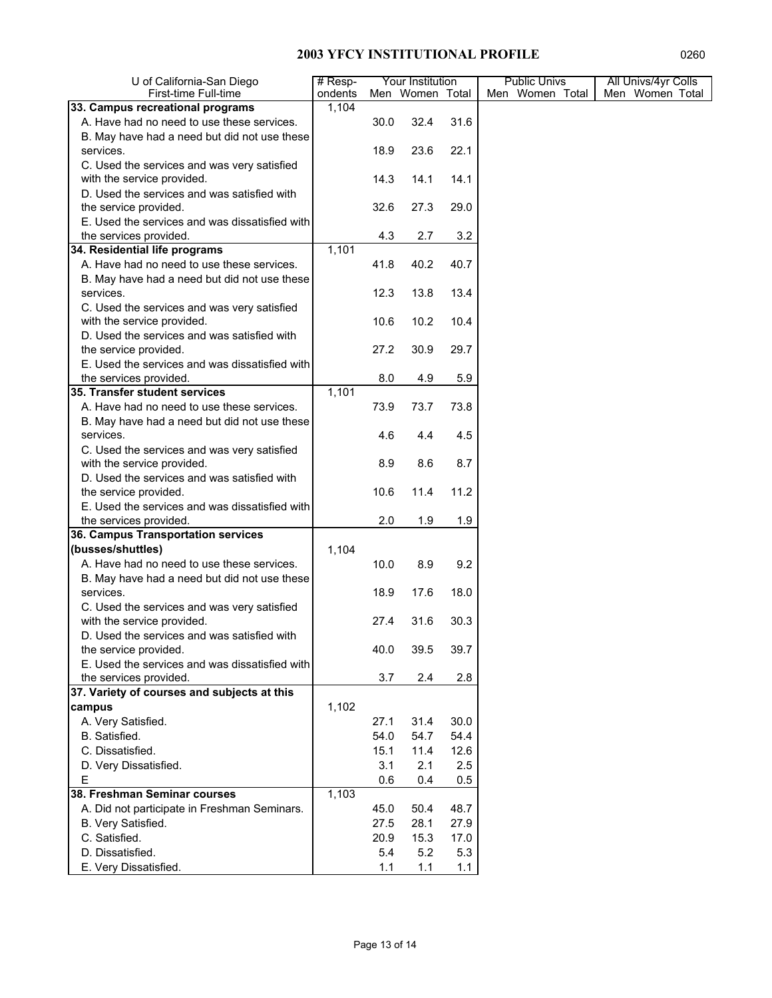| U of California-San Diego                      | $#$ Resp- | Your Institution |                 |      | <b>Public Univs</b> | All Univs/4yr Colls |
|------------------------------------------------|-----------|------------------|-----------------|------|---------------------|---------------------|
| First-time Full-time                           | ondents   |                  | Men Women Total |      | Men Women Total     | Men Women Total     |
| 33. Campus recreational programs               | 1,104     |                  |                 |      |                     |                     |
| A. Have had no need to use these services.     |           | 30.0             | 32.4            | 31.6 |                     |                     |
| B. May have had a need but did not use these   |           |                  |                 |      |                     |                     |
| services.                                      |           | 18.9             | 23.6            | 22.1 |                     |                     |
| C. Used the services and was very satisfied    |           |                  |                 |      |                     |                     |
| with the service provided.                     |           | 14.3             | 14.1            | 14.1 |                     |                     |
| D. Used the services and was satisfied with    |           |                  |                 |      |                     |                     |
| the service provided.                          |           | 32.6             | 27.3            | 29.0 |                     |                     |
| E. Used the services and was dissatisfied with |           |                  |                 |      |                     |                     |
| the services provided.                         |           | 4.3              | 2.7             | 3.2  |                     |                     |
| 34. Residential life programs                  | 1,101     |                  |                 |      |                     |                     |
| A. Have had no need to use these services.     |           | 41.8             | 40.2            | 40.7 |                     |                     |
| B. May have had a need but did not use these   |           |                  |                 |      |                     |                     |
| services.                                      |           | 12.3             | 13.8            | 13.4 |                     |                     |
| C. Used the services and was very satisfied    |           |                  |                 |      |                     |                     |
| with the service provided.                     |           | 10.6             | 10.2            | 10.4 |                     |                     |
| D. Used the services and was satisfied with    |           |                  |                 |      |                     |                     |
| the service provided.                          |           | 27.2             | 30.9            | 29.7 |                     |                     |
| E. Used the services and was dissatisfied with |           |                  |                 |      |                     |                     |
| the services provided.                         |           | 8.0              | 4.9             | 5.9  |                     |                     |
| 35. Transfer student services                  | 1,101     |                  |                 |      |                     |                     |
| A. Have had no need to use these services.     |           | 73.9             | 73.7            | 73.8 |                     |                     |
| B. May have had a need but did not use these   |           |                  |                 |      |                     |                     |
| services.                                      |           | 4.6              | 4.4             | 4.5  |                     |                     |
| C. Used the services and was very satisfied    |           |                  |                 |      |                     |                     |
| with the service provided.                     |           | 8.9              | 8.6             | 8.7  |                     |                     |
| D. Used the services and was satisfied with    |           |                  |                 |      |                     |                     |
| the service provided.                          |           | 10.6             | 11.4            | 11.2 |                     |                     |
| E. Used the services and was dissatisfied with |           |                  |                 |      |                     |                     |
| the services provided.                         |           | 2.0              | 1.9             | 1.9  |                     |                     |
| 36. Campus Transportation services             |           |                  |                 |      |                     |                     |
| (busses/shuttles)                              | 1,104     |                  |                 |      |                     |                     |
| A. Have had no need to use these services.     |           | 10.0             | 8.9             | 9.2  |                     |                     |
| B. May have had a need but did not use these   |           |                  |                 |      |                     |                     |
| services.                                      |           | 18.9             | 17.6            | 18.0 |                     |                     |
| C. Used the services and was very satisfied    |           |                  |                 |      |                     |                     |
| with the service provided.                     |           | 27.4             | 31.6            | 30.3 |                     |                     |
| D. Used the services and was satisfied with    |           |                  |                 |      |                     |                     |
| the service provided.                          |           | 40.0             | 39.5            | 39.7 |                     |                     |
| E. Used the services and was dissatisfied with |           |                  |                 |      |                     |                     |
| the services provided.                         |           | 3.7              | 2.4             | 2.8  |                     |                     |
| 37. Variety of courses and subjects at this    |           |                  |                 |      |                     |                     |
| campus                                         | 1,102     |                  |                 |      |                     |                     |
| A. Very Satisfied.                             |           | 27.1             | 31.4            | 30.0 |                     |                     |
| B. Satisfied.                                  |           | 54.0             | 54.7            | 54.4 |                     |                     |
| C. Dissatisfied.                               |           | 15.1             | 11.4            | 12.6 |                     |                     |
| D. Very Dissatisfied.                          |           | 3.1              | 2.1             | 2.5  |                     |                     |
| E                                              |           | 0.6              | 0.4             | 0.5  |                     |                     |
| 38. Freshman Seminar courses                   | 1,103     |                  |                 |      |                     |                     |
| A. Did not participate in Freshman Seminars.   |           | 45.0             | 50.4            | 48.7 |                     |                     |
| B. Very Satisfied.                             |           | 27.5             | 28.1            | 27.9 |                     |                     |
| C. Satisfied.                                  |           | 20.9             | 15.3            | 17.0 |                     |                     |
| D. Dissatisfied.                               |           | 5.4              | 5.2             | 5.3  |                     |                     |
| E. Very Dissatisfied.                          |           | 1.1              | 1.1             | 1.1  |                     |                     |